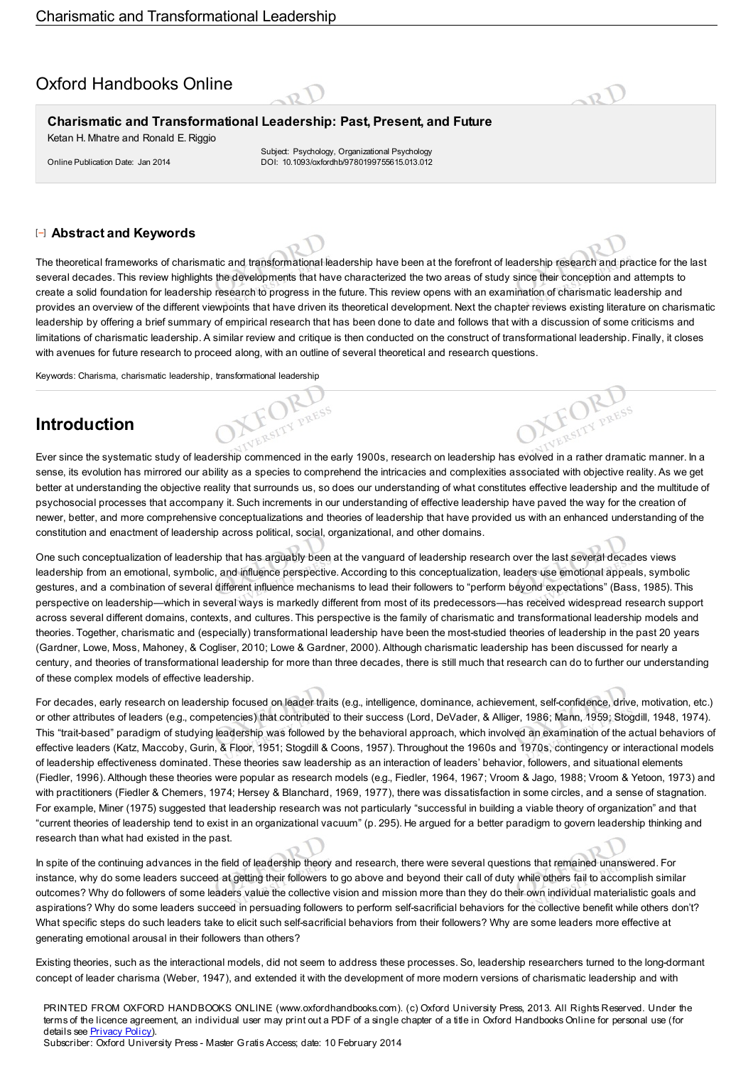# Oxford [Handbooks](/) Online



### **Charismatic and Transformational Leadership: Past, Present, and Future**

XEORI

EOR PRESS

Ketan H. Mhatre and Ronald E. Riggio

Subject: Psychology, Organizational Psychology Online Publication Date: Jan 2014 DOI: 10.1093/oxfordhb/9780199755615.013.012

### **Abstract and Keywords**

The theoretical frameworks of charismatic and transformational leadership have been at the forefront of leadership research and practice for the last several decades. This review highlights the developments that have characterized the two areas of study since their conception and attempts to create a solid foundation for leadership research to progress in the future. This review opens with an examination of charismatic leadership and provides an overview of the different viewpoints that have driven its theoretical development. Next the chapter reviews existing literature on charismatic leadership by offering a brief summary of empirical research that has been done to date and follows that with a discussion of some criticisms and limitations of charismatic leadership. A similar review and critique is then conducted on the construct of transformational leadership. Finally, it closes with avenues for future research to proceed along, with an outline of several theoretical and research questions.

Keywords: [Charisma](/search?f_0=keyword&q_0=Charisma), [charismatic](/search?f_0=keyword&q_0=charismatic leadership) leadership, [transformational](/search?f_0=keyword&q_0=transformational leadership) leadership

# **Introduction**

Ever since the systematic study of leadership commenced in the early 1900s, research on leadership has evolved in a rather dramatic manner. In a sense, its evolution has mirrored our ability as a species to comprehend the intricacies and complexities associated with objective reality. As we get better at understanding the objective reality that surrounds us, so does our understanding of what constitutes effective leadership and the multitude of psychosocial processes that accompany it. Such increments in our understanding of effective leadership have paved the way for the creation of newer, better, and more comprehensive conceptualizations and theories of leadership that have provided us with an enhanced understanding of the constitution and enactment of leadership across political, social, organizational, and other domains.

XFOR

One such conceptualization of leadership that has arguably been at the vanguard of leadership research over the last several decades views leadership from an emotional, symbolic, and influence perspective. According to this conceptualization, leaders use emotional appeals, symbolic gestures, and a combination of several different influence mechanisms to lead their followers to "perform beyond expectations" [\(Bass,](#page-11-0) 1985). This perspective on leadership—which in several ways is markedly different from most of its predecessors—has received widespread research support across several different domains, contexts, and cultures. This perspective is the family of charismatic and transformational leadership models and theories. Together, charismatic and (especially) transformational leadership have been the most-studied theories of leadership in the past 20 years (Gardner, Lowe, Moss, [Mahoney,](#page-13-0) & Cogliser, 2010; Lowe & [Gardner,](#page-14-0) 2000). Although charismatic leadership has been discussed for nearly a century, and theories of transformational leadership for more than three decades, there is still much that research can do to further our understanding of these complex models of effective leadership.

For decades, early research on leadership focused on leader traits (e.g., intelligence, dominance, achievement, self-confidence, drive, motivation, etc.) or other attributes of leaders (e.g., competencies) that contributed to their success (Lord, [DeVader,](#page-14-1) & Alliger, 1986; [Mann,](#page-14-2) 1959; [Stogdill,](#page-15-0) 1948, [1974](#page-15-1)). This "trait-based" paradigm of studying leadership was followed by the behavioral approach, which involved an examination of the actual behaviors of effective leaders (Katz, [Maccoby,](#page-13-1) Gurin, & Floor, 1951; [Stogdill](#page-15-2) & Coons, 1957). Throughout the 1960s and 1970s, contingency or interactional models of leadership effectiveness dominated. These theories saw leadership as an interaction of leaders' behavior, followers, and situational elements (Fiedler, 1996). Although these theories were popular as research models (e.g., [Fiedler,](#page-13-2) 1964, 1967; Vroom & Jago, 1988; Vroom & [Yetoon,](#page-15-3) 1973) and with practitioners (Fiedler & [Chemers,](#page-13-3) 1974; Hersey & [Blanchard,](#page-13-4) 1969, 1977), there was dissatisfaction in some circles, and a sense of stagnation. For example, Miner [\(1975\)](#page-14-3) suggested that leadership research was not particularly "successful in building a viable theory of organization" and that "current theories of leadership tend to exist in an organizational vacuum" (p. 295). He argued for a better paradigm to govern leadership thinking and research than what had existed in the past.

In spite of the continuing advances in the field of leadership theory and research, there were several questions that remained unanswered. For instance, why do some leaders succeed at getting their followers to go above and beyond their call of duty while others fail to accomplish similar outcomes? Why do followers of some leaders value the collective vision and mission more than they do their own individual materialistic goals and aspirations? Why do some leaders succeed in persuading followers to perform self-sacrificial behaviors for the collective benefit while others don't? What specific steps do such leaders take to elicit such self-sacrificial behaviors from their followers? Why are some leaders more effective at generating emotional arousal in their followers than others?

Existing theories, such as the interactional models, did not seem to address these processes. So, leadership researchers turned to the long-dormant concept of leader charisma [\(Weber,](#page-15-4) 1947), and extended it with the development of more modern versions of charismatic leadership and with

PRINTED FROM OXFORD HANDBOOKS ONLINE (www.oxfordhandbooks.com). (c) Oxford University Press, 2013. All Rights Reserved. Under the terms of the licence agreement, an individual user may print out a PDF of a single chapter of a title in Oxford Handbooks Online for personal use (for details see [Privacy](http://www.oxfordhandbooks.com/page/privacy-policy/privacy-policy-and-legal-notice;jsessionid=6A5D18338CC47F8B88A926DE7A529563) Policy).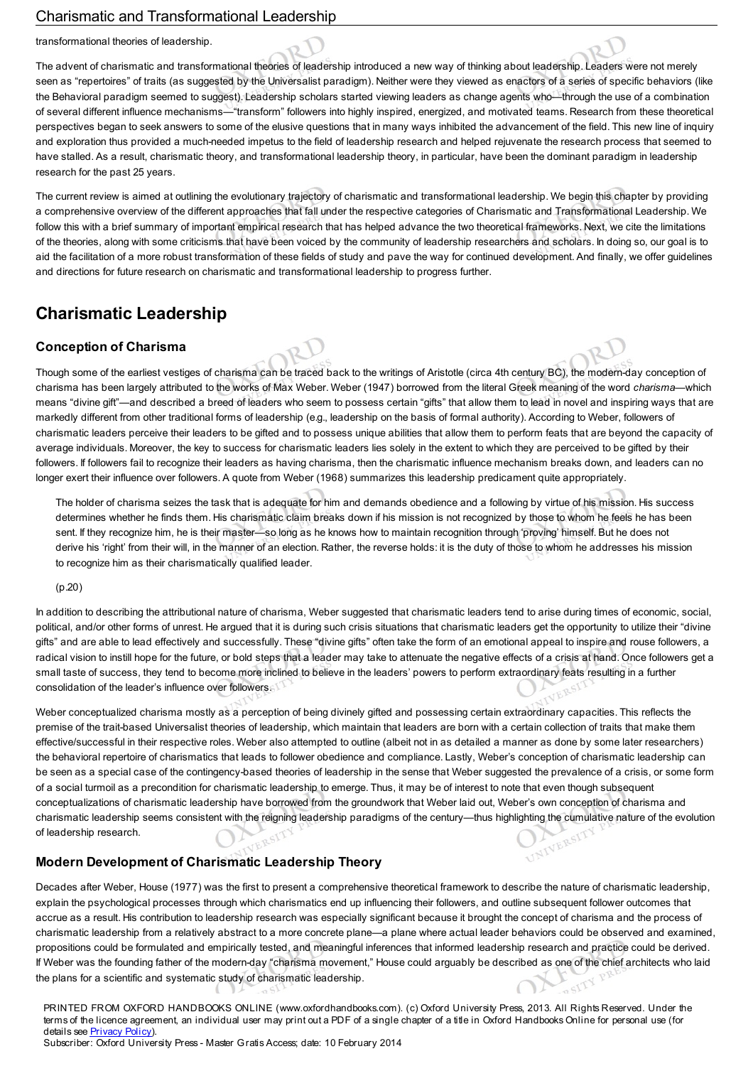transformational theories of leadership.

The advent of charismatic and transformational theories of leadership introduced a new way of thinking about leadership. Leaders were not merely seen as "repertoires" of traits (as suggested by the Universalist paradigm). Neither were they viewed as enactors of a series of specific behaviors (like the Behavioral paradigm seemed to suggest). Leadership scholars started viewing leaders as change agents who—through the use of a combination of several different influence mechanisms—"transform" followers into highly inspired, energized, and motivated teams. Research from these theoretical perspectives began to seek answers to some of the elusive questions that in many ways inhibited the advancement of the field. This new line of inquiry and exploration thus provided a much-needed impetus to the field of leadership research and helped rejuvenate the research process that seemed to have stalled. As a result, charismatic theory, and transformational leadership theory, in particular, have been the dominant paradigm in leadership research for the past 25 years.

The current review is aimed at outlining the evolutionary trajectory of charismatic and transformational leadership. We begin this chapter by providing a comprehensive overview of the different approaches that fall under the respective categories of Charismatic and Transformational Leadership. We follow this with a brief summary of important empirical research that has helped advance the two theoretical frameworks. Next, we cite the limitations of the theories, along with some criticisms that have been voiced by the community of leadership researchers and scholars. In doing so, our goal is to aid the facilitation of a more robust transformation of these fields of study and pave the way for continued development. And finally, we offer guidelines and directions for future research on charismatic and transformational leadership to progress further.

# **Charismatic Leadership**

## **Conception of Charisma**

Though some of the earliest vestiges of charisma can be traced back to the writings of Aristotle (circa 4th century BC), the modern-day conception of charisma has been largely attributed to the works of Max Weber. [Weber](#page-15-4) (1947) borrowed from the literal Greek meaning of the word *charisma*—which means "divine gift"—and described a breed of leaders who seem to possess certain "gifts" that allow them to lead in novel and inspiring ways that are markedly different from other traditional forms of leadership (e.g., leadership on the basis of formal authority). According to Weber, followers of charismatic leaders perceive their leaders to be gifted and to possess unique abilities that allow them to perform feats that are beyond the capacity of average individuals. Moreover, the key to success for charismatic leaders lies solely in the extent to which they are perceived to be gifted by their followers. If followers fail to recognize their leaders as having charisma, then the charismatic influence mechanism breaks down, and leaders can no longer exert their influence over followers. A quote from [Weber](#page-15-5) (1968) summarizes this leadership predicament quite appropriately.

The holder of charisma seizes the task that is adequate for him and demands obedience and a following by virtue of his mission. His success determines whether he finds them. His charismatic claim breaks down if his mission is not recognized by those to whom he feels he has been sent. If they recognize him, he is their master—so long as he knows how to maintain recognition through 'proving' himself. But he does not derive his 'right' from their will, in the manner of an election. Rather, the reverse holds: it is the duty of those to whom he addresses his mission to recognize him as their charismatically qualified leader.

(p.20)

In addition to describing the attributional nature of charisma, Weber suggested that charismatic leaders tend to arise during times of economic, social, political, and/or other forms of unrest. He argued that it is during such crisis situations that charismatic leaders get the opportunity to utilize their "divine gifts" and are able to lead effectively and successfully. These "divine gifts" often take the form of an emotional appeal to inspire and rouse followers, a radical vision to instill hope for the future, or bold steps that a leader may take to attenuate the negative effects of a crisis at hand. Once followers get a small taste of success, they tend to become more inclined to believe in the leaders' powers to perform extraordinary feats resulting in a further consolidation of the leader's influence over followers.

Weber conceptualized charisma mostly as a perception of being divinely gifted and possessing certain extraordinary capacities. This reflects the premise of the trait-based Universalist theories of leadership, which maintain that leaders are born with a certain collection of traits that make them effective/successful in their respective roles. Weber also attempted to outline (albeit not in as detailed a manner as done by some later researchers) the behavioral repertoire of charismatics that leads to follower obedience and compliance. Lastly, Weber's conception of charismatic leadership can be seen as a special case of the contingency-based theories of leadership in the sense that Weber suggested the prevalence of a crisis, or some form of a social turmoil as a precondition for charismatic leadership to emerge. Thus, it may be of interest to note that even though subsequent conceptualizations of charismatic leadership have borrowed from the groundwork that Weber laid out, Weber's own conception of charisma and charismatic leadership seems consistent with the reigning leadership paradigms of the century—thus highlighting the cumulative nature of the evolution<br>of leadership research.<br>Modern Development of Charitan and Charitan and of leadership research.

### **Modern Development of Charismatic Leadership Theory**

Decades after Weber, House [\(1977\)](#page-13-5) was the first to present a comprehensive theoretical framework to describe the nature of charismatic leadership, explain the psychological processes through which charismatics end up influencing their followers, and outline subsequent follower outcomes that accrue as a result. His contribution to leadership research was especially significant because it brought the concept of charisma and the process of charismatic leadership from a relatively abstract to a more concrete plane—a plane where actual leader behaviors could be observed and examined, propositions could be formulated and empirically tested, and meaningful inferences that informed leadership research and practice could be derived. If Weber was the founding father of the modern-day "charisma movement," House could arguably be described as one of the chief architects who laid the plans for a scientific and systematic study of charismatic leadership.

PRINTED FROM OXFORD HANDBOOKS ONLINE (www.oxfordhandbooks.com). (c) Oxford University Press, 2013. All Rights Reserved. Under the terms of the licence agreement, an individual user may print out a PDF of a single chapter of a title in Oxford Handbooks Online for personal use (for details see [Privacy](http://www.oxfordhandbooks.com/page/privacy-policy/privacy-policy-and-legal-notice;jsessionid=6A5D18338CC47F8B88A926DE7A529563) Policy).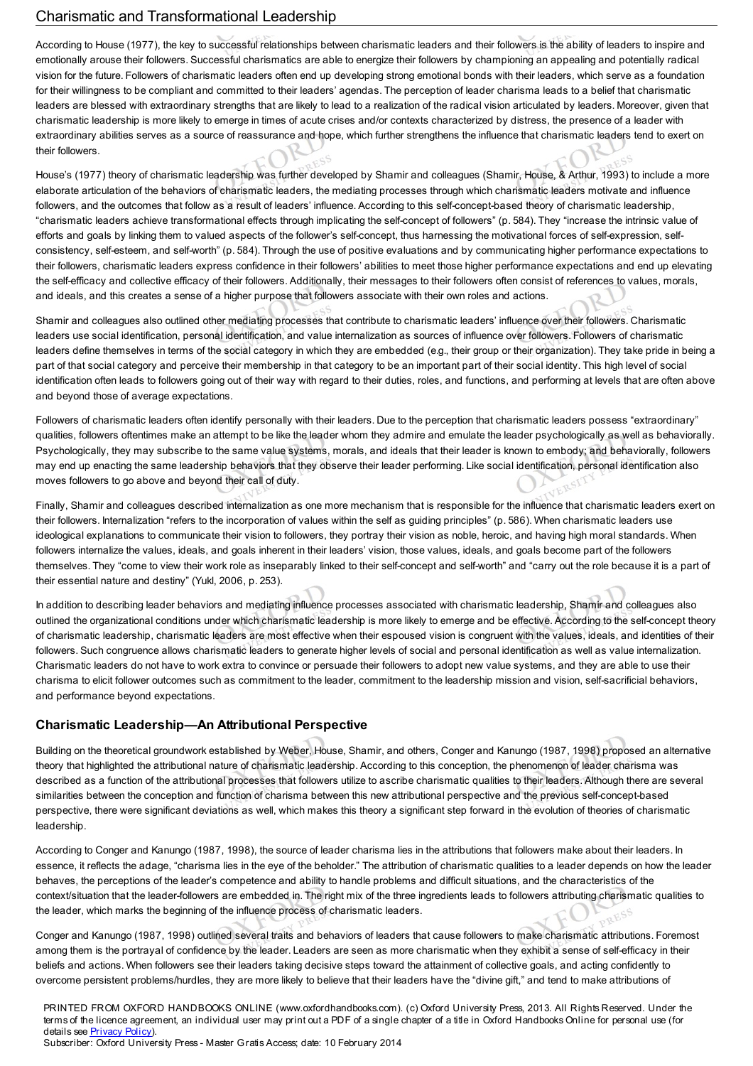According to House [\(1977\)](#page-13-5), the key to successful relationships between charismatic leaders and their followers is the ability of leaders to inspire and emotionally arouse their followers. Successful charismatics are able to energize their followers by championing an appealing and potentially radical vision for the future. Followers of charismatic leaders often end up developing strong emotional bonds with their leaders, which serve as a foundation for their willingness to be compliant and committed to their leaders' agendas. The perception of leader charisma leads to a belief that charismatic leaders are blessed with extraordinary strengths that are likely to lead to a realization of the radical vision articulated by leaders. Moreover, given that charismatic leadership is more likely to emerge in times of acute crises and/or contexts characterized by distress, the presence of a leader with extraordinary abilities serves as a source of reassurance and hope, which further strengthens the influence that charismatic leaders tend to exert on their followers.

[House's](#page-13-5) (1977) theory of charismatic leadership was further developed by Shamir and colleagues [\(Shamir,](#page-14-4) House, & Arthur, 1993) to include a more elaborate articulation of the behaviors of charismatic leaders, the mediating processes through which charismatic leaders motivate and influence followers, and the outcomes that follow as a result of leaders' influence. According to this self-concept-based theory of charismatic leadership, "charismatic leaders achieve transformational effects through implicating the self-concept of followers" (p. 584). They "increase the intrinsic value of efforts and goals by linking them to valued aspects of the follower's self-concept, thus harnessing the motivational forces of self-expression, selfconsistency, self-esteem, and self-worth" (p. 584). Through the use of positive evaluations and by communicating higher performance expectations to their followers, charismatic leaders express confidence in their followers' abilities to meet those higher performance expectations and end up elevating the self-efficacy and collective efficacy of their followers. Additionally, their messages to their followers often consist of references to values, morals, and ideals, and this creates a sense of a higher purpose that followers associate with their own roles and actions.

Shamir and colleagues also outlined other mediating processes that contribute to charismatic leaders' influence over their followers. Charismatic leaders use social identification, personal identification, and value internalization as sources of influence over followers. Followers of charismatic leaders define themselves in terms of the social category in which they are embedded (e.g., their group or their organization). They take pride in being a part of that social category and perceive their membership in that category to be an important part of their social identity. This high level of social identification often leads to followers going out of their way with regard to their duties, roles, and functions, and performing at levels that are often above and beyond those of average expectations.

Followers of charismatic leaders often identify personally with their leaders. Due to the perception that charismatic leaders possess "extraordinary" qualities, followers oftentimes make an attempt to be like the leader whom they admire and emulate the leader psychologically as well as behaviorally. Psychologically, they may subscribe to the same value systems, morals, and ideals that their leader is known to embody; and behaviorally, followers may end up enacting the same leadership behaviors that they observe their leader performing. Like social identification, personal identification also moves followers to go above and beyond their call of duty.

Finally, Shamir and colleagues described internalization as one more mechanism that is responsible for the influence that charismatic leaders exert on their followers. Internalization "refers to the incorporation of values within the self as guiding principles" (p. 586). When charismatic leaders use ideological explanations to communicate their vision to followers, they portray their vision as noble, heroic, and having high moral standards. When followers internalize the values, ideals, and goals inherent in their leaders' vision, those values, ideals, and goals become part of the followers themselves. They "come to view their work role as inseparably linked to their self-concept and self-worth" and "carry out the role because it is a part of their essential nature and destiny" (Yukl, [2006](#page-15-6), p. 253).

In addition to describing leader behaviors and mediating influence processes associated with charismatic leadership, Shamir and colleagues also outlined the organizational conditions under which charismatic leadership is more likely to emerge and be effective. According to the self-concept theory of charismatic leadership, charismatic leaders are most effective when their espoused vision is congruent with the values, ideals, and identities of their followers. Such congruence allows charismatic leaders to generate higher levels of social and personal identification as well as value internalization. Charismatic leaders do not have to work extra to convince or persuade their followers to adopt new value systems, and they are able to use their charisma to elicit follower outcomes such as commitment to the leader, commitment to the leadership mission and vision, self-sacrificial behaviors, and performance beyond expectations.

### **Charismatic Leadership—An Attributional Perspective**

Building on the theoretical groundwork established by Weber, House, Shamir, and others, Conger and [Kanungo](#page-12-0) (1987, [1998](#page-12-1)) proposed an alternative theory that highlighted the attributional nature of charismatic leadership. According to this conception, the phenomenon of leader charisma was described as a function of the attributional processes that followers utilize to ascribe charismatic qualities to their leaders. Although there are several similarities between the conception and function of charisma between this new attributional perspective and the previous self-concept-based perspective, there were significant deviations as well, which makes this theory a significant step forward in the evolution of theories of charismatic leadership.

According to Conger and [Kanungo](#page-12-0) (1987, [1998](#page-12-1)), the source of leader charisma lies in the attributions that followers make about their leaders. In essence, it reflects the adage, "charisma lies in the eye of the beholder." The attribution of charismatic qualities to a leader depends on how the leader behaves, the perceptions of the leader's competence and ability to handle problems and difficult situations, and the characteristics of the context/situation that the leader-followers are embedded in. The right mix of the three ingredients leads to followers attributing charismatic qualities to the leader, which marks the beginning of the influence process of charismatic leaders.

Conger and [Kanungo](#page-12-0) (1987, [1998](#page-12-1)) outlined several traits and behaviors of leaders that cause followers to make charismatic attributions. Foremost among them is the portrayal of confidence by the leader. Leaders are seen as more charismatic when they exhibit a sense of self-efficacy in their beliefs and actions. When followers see their leaders taking decisive steps toward the attainment of collective goals, and acting confidently to overcome persistent problems/hurdles, they are more likely to believe that their leaders have the "divine gift," and tend to make attributions of

PRINTED FROM OXFORD HANDBOOKS ONLINE (www.oxfordhandbooks.com). (c) Oxford University Press, 2013. All Rights Reserved. Under the terms of the licence agreement, an individual user may print out a PDF of a single chapter of a title in Oxford Handbooks Online for personal use (for details see [Privacy](http://www.oxfordhandbooks.com/page/privacy-policy/privacy-policy-and-legal-notice;jsessionid=6A5D18338CC47F8B88A926DE7A529563) Policy).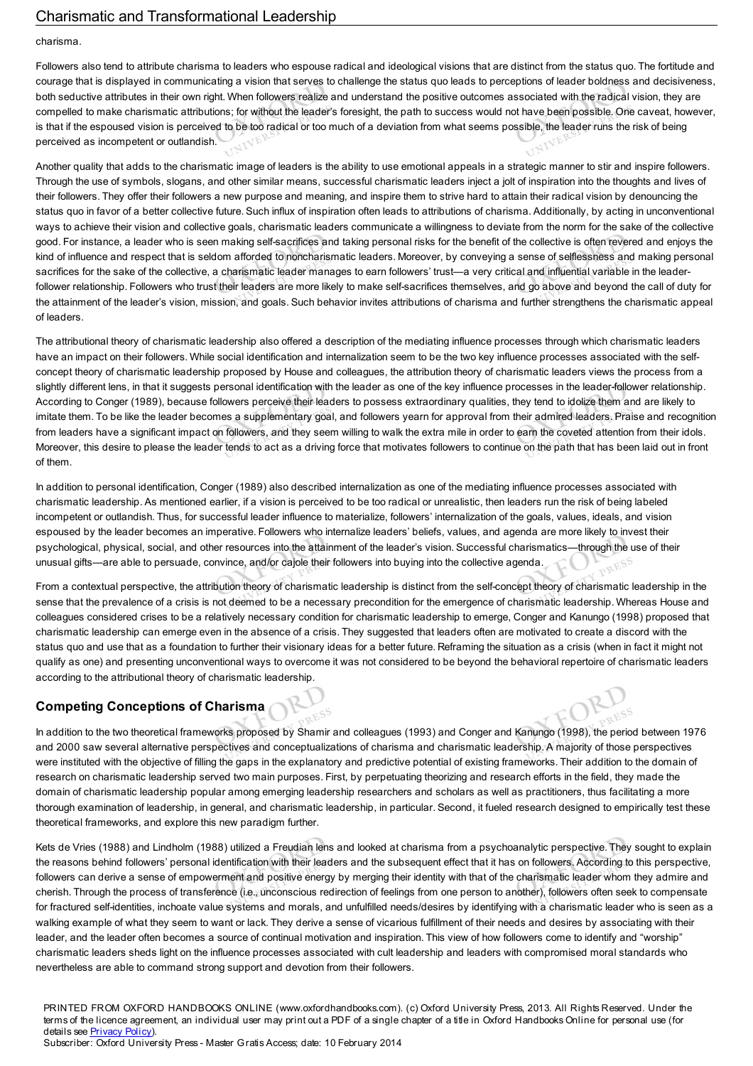#### charisma.

Followers also tend to attribute charisma to leaders who espouse radical and ideological visions that are distinct from the status quo. The fortitude and courage that is displayed in communicating a vision that serves to challenge the status quo leads to perceptions of leader boldness and decisiveness, both seductive attributes in their own right. When followers realize and understand the positive outcomes associated with the radical vision, they are compelled to make charismatic attributions; for without the leader's foresight, the path to success would not have been possible. One caveat, however, is that if the espoused vision is perceived to be too radical or too much of a deviation from what seems possible, the leader runs the risk of being perceived as incompetent or outlandish.

Another quality that adds to the charismatic image of leaders is the ability to use emotional appeals in a strategic manner to stir and inspire followers. Through the use of symbols, slogans, and other similar means, successful charismatic leaders inject a jolt of inspiration into the thoughts and lives of their followers. They offer their followers a new purpose and meaning, and inspire them to strive hard to attain their radical vision by denouncing the status quo in favor of a better collective future. Such influx of inspiration often leads to attributions of charisma. Additionally, by acting in unconventional ways to achieve their vision and collective goals, charismatic leaders communicate a willingness to deviate from the norm for the sake of the collective good. For instance, a leader who is seen making self-sacrifices and taking personal risks for the benefit of the collective is often revered and enjoys the kind of influence and respect that is seldom afforded to noncharismatic leaders. Moreover, by conveying a sense of selflessness and making personal sacrifices for the sake of the collective, a charismatic leader manages to earn followers' trust—a very critical and influential variable in the leaderfollower relationship. Followers who trust their leaders are more likely to make self-sacrifices themselves, and go above and beyond the call of duty for the attainment of the leader's vision, mission, and goals. Such behavior invites attributions of charisma and further strengthens the charismatic appeal of leaders.

The attributional theory of charismatic leadership also offered a description of the mediating influence processes through which charismatic leaders have an impact on their followers. While social identification and internalization seem to be the two key influence processes associated with the selfconcept theory of charismatic leadership proposed by House and colleagues, the attribution theory of charismatic leaders views the process from a slightly different lens, in that it suggests personal identification with the leader as one of the key influence processes in the leader-follower relationship. According to [Conger](#page-12-2) (1989), because followers perceive their leaders to possess extraordinary qualities, they tend to idolize them and are likely to imitate them. To be like the leader becomes a supplementary goal, and followers yearn for approval from their admired leaders. Praise and recognition from leaders have a significant impact on followers, and they seem willing to walk the extra mile in order to earn the coveted attention from their idols. Moreover, this desire to please the leader tends to act as a driving force that motivates followers to continue on the path that has been laid out in front of them.

In addition to personal identification, [Conger](#page-12-2) (1989) also described internalization as one of the mediating influence processes associated with charismatic leadership. As mentioned earlier, if a vision is perceived to be too radical or unrealistic, then leaders run the risk of being labeled incompetent or outlandish. Thus, for successful leader influence to materialize, followers' internalization of the goals, values, ideals, and vision espoused by the leader becomes an imperative. Followers who internalize leaders' beliefs, values, and agenda are more likely to invest their psychological, physical, social, and other resources into the attainment of the leader's vision. Successful charismatics—through the use of their unusual gifts—are able to persuade, convince, and/or cajole their followers into buying into the collective agenda. ORE!

From a contextual perspective, the attribution theory of charismatic leadership is distinct from the self-concept theory of charismatic leadership in the sense that the prevalence of a crisis is not deemed to be a necessary precondition for the emergence of charismatic leadership. Whereas House and colleagues considered crises to be a relatively necessary condition for charismatic leadership to emerge, Conger and [Kanungo](#page-12-1) (1998) proposed that charismatic leadership can emerge even in the absence of a crisis. They suggested that leaders often are motivated to create a discord with the status quo and use that as a foundation to further their visionary ideas for a better future. Reframing the situation as a crisis (when in fact it might not qualify as one) and presenting unconventional ways to overcome it was not considered to be beyond the behavioral repertoire of charismatic leaders according to the attributional theory of charismatic leadership.

### **Competing Conceptions of Charisma**

In addition to the two theoretical frameworks proposed by Shamir and [colleagues](#page-14-4) (1993) and Conger and [Kanungo](#page-12-1) (1998), the period between 1976 and 2000 saw several alternative perspectives and conceptualizations of charisma and charismatic leadership. A majority of those perspectives were instituted with the objective of filling the gaps in the explanatory and predictive potential of existing frameworks. Their addition to the domain of research on charismatic leadership served two main purposes. First, by perpetuating theorizing and research efforts in the field, they made the domain of charismatic leadership popular among emerging leadership researchers and scholars as well as practitioners, thus facilitating a more thorough examination of leadership, in general, and charismatic leadership, in particular. Second, it fueled research designed to empirically test these theoretical frameworks, and explore this new paradigm further.

Kets de Vries [\(1988\)](#page-13-6) and [Lindholm](#page-14-5) (1988) utilized a Freudian lens and looked at charisma from a psychoanalytic perspective. They sought to explain the reasons behind followers' personal identification with their leaders and the subsequent effect that it has on followers. According to this perspective, followers can derive a sense of empowerment and positive energy by merging their identity with that of the charismatic leader whom they admire and cherish. Through the process of transference (i.e., unconscious redirection of feelings from one person to another), followers often seek to compensate for fractured self-identities, inchoate value systems and morals, and unfulfilled needs/desires by identifying with a charismatic leader who is seen as a walking example of what they seem to want or lack. They derive a sense of vicarious fulfillment of their needs and desires by associating with their leader, and the leader often becomes a source of continual motivation and inspiration. This view of how followers come to identify and "worship" charismatic leaders sheds light on the influence processes associated with cult leadership and leaders with compromised moral standards who nevertheless are able to command strong support and devotion from their followers.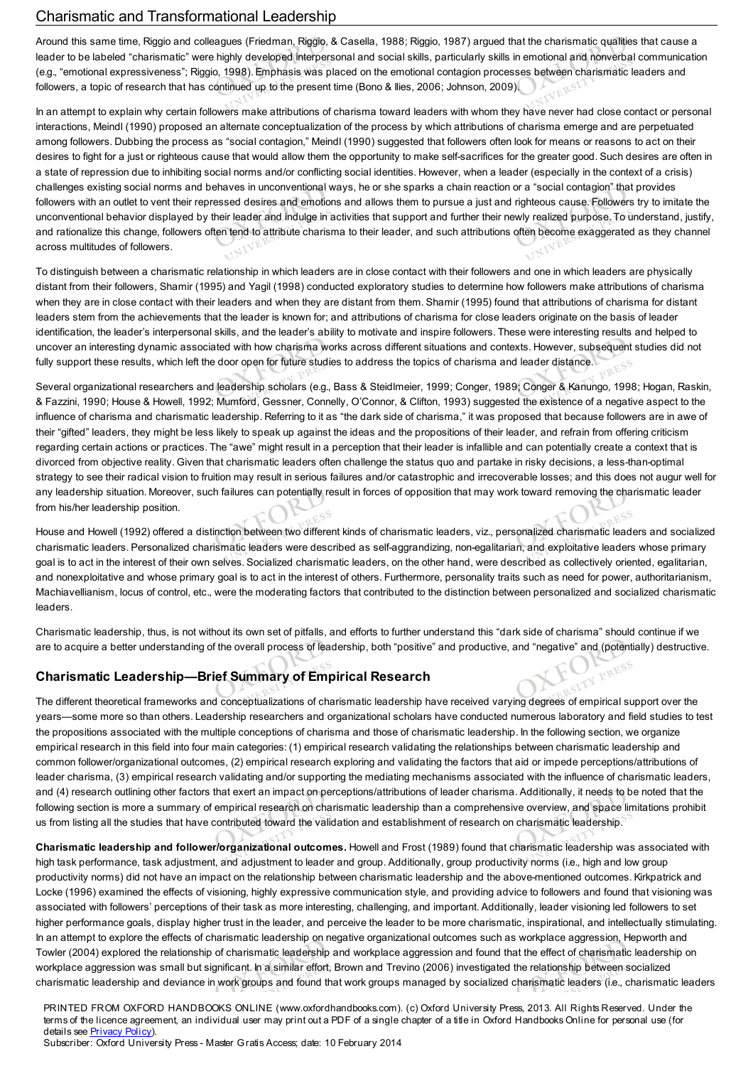Around this same time, Riggio and colleagues [\(Friedman,](#page-13-7) Riggio, & Casella, 1988; [Riggio,](#page-14-6) 1987) argued that the charismatic qualities that cause a leader to be labeled "charismatic" were highly developed interpersonal and social skills, particularly skills in emotional and nonverbal communication (e.g., "emotional expressiveness"; [Riggio,](#page-14-7) 1998). Emphasis was placed on the emotional contagion processes between charismatic leaders and followers, a topic of research that has continued up to the present time [\(Bono](#page-12-3) & Ilies, 2006; [Johnson,](#page-13-8) 2009).

In an attempt to explain why certain followers make attributions of charisma toward leaders with whom they have never had close contact or personal interactions, Meindl (1990) proposed an alternate conceptualization of the process by which attributions of charisma emerge and are perpetuated among followers. Dubbing the process as "social contagion," Meindl (1990) suggested that followers often look for means or reasons to act on their desires to fight for a just or righteous cause that would allow them the opportunity to make self-sacrifices for the greater good. Such desires are often in a state of repression due to inhibiting social norms and/or conflicting social identities. However, when a leader (especially in the context of a crisis) challenges existing social norms and behaves in unconventional ways, he or she sparks a chain reaction or a "social contagion" that provides followers with an outlet to vent their repressed desires and emotions and allows them to pursue a just and righteous cause. Followers try to imitate the unconventional behavior displayed by their leader and indulge in activities that support and further their newly realized purpose. To understand, justify, and rationalize this change, followers often tend to attribute charisma to their leader, and such attributions often become exaggerated as they channel across multitudes of followers.

To distinguish between a charismatic relationship in which leaders are in close contact with their followers and one in which leaders are physically distant from their followers, [Shamir](#page-14-8) (1995) and Yagil (1998) conducted exploratory studies to determine how followers make attributions of charisma when they are in close contact with their leaders and when they are distant from them. [Shamir](#page-14-8) (1995) found that attributions of charisma for distant leaders stem from the achievements that the leader is known for; and attributions of charisma for close leaders originate on the basis of leader identification, the leader's interpersonal skills, and the leader's ability to motivate and inspire followers. These were interesting results and helped to uncover an interesting dynamic associated with how charisma works across different situations and contexts. However, subsequent studies did not fully support these results, which left the door open for future studies to address the topics of charisma and leader distance.

Several [organizational](#page-13-9) researchers and leadership scholars (e.g., Bass & [Steidlmeier,](#page-12-4) 1999; [Conger,](#page-12-2) 1989; Conger & [Kanungo,](#page-12-1) 1998; Hogan, Raskin, & Fazzini, 1990; House & [Howell,](#page-13-10) 1992; Mumford, Gessner, Connelly, [O'Connor,](#page-14-9) & Clifton, 1993) suggested the existence of a negative aspect to the influence of charisma and charismatic leadership. Referring to it as "the dark side of charisma," it was proposed that because followers are in awe of their "gifted" leaders, they might be less likely to speak up against the ideas and the propositions of their leader, and refrain from offering criticism regarding certain actions or practices. The "awe" might result in a perception that their leader is infallible and can potentially create a context that is divorced from objective reality. Given that charismatic leaders often challenge the status quo and partake in risky decisions, a less-than-optimal strategy to see their radical vision to fruition may result in serious failures and/or catastrophic and irrecoverable losses; and this does not augur well for any leadership situation. Moreover, such failures can potentially result in forces of opposition that may work toward removing the charismatic leader from his/her leadership position.

House and Howell [\(1992\)](#page-13-10) offered a distinction between two different kinds of charismatic leaders, viz., personalized charismatic leaders and socialized charismatic leaders. Personalized charismatic leaders were described as self-aggrandizing, non-egalitarian, and exploitative leaders whose primary goal is to act in the interest of their own selves. Socialized charismatic leaders, on the other hand, were described as collectively oriented, egalitarian, and nonexploitative and whose primary goal is to act in the interest of others. Furthermore, personality traits such as need for power, authoritarianism, Machiavellianism, locus of control, etc., were the moderating factors that contributed to the distinction between personalized and socialized charismatic leaders.

Charismatic leadership, thus, is not without its own set of pitfalls, and efforts to further understand this "dark side of charisma" should continue if we are to acquire a better understanding of the overall process of leadership, both "positive" and productive, and "negative" and (potentially) destructive.

### **Charismatic Leadership—Brief Summary of Empirical Research**

The different theoretical frameworks and conceptualizations of charismatic leadership have received varying degrees of empirical support over the years—some more so than others. Leadership researchers and organizational scholars have conducted numerous laboratory and field studies to test the propositions associated with the multiple conceptions of charisma and those of charismatic leadership. In the following section, we organize empirical research in this field into four main categories: (1) empirical research validating the relationships between charismatic leadership and common follower/organizational outcomes, (2) empirical research exploring and validating the factors that aid or impede perceptions/attributions of leader charisma, (3) empirical research validating and/or supporting the mediating mechanisms associated with the influence of charismatic leaders, and (4) research outlining other factors that exert an impact on perceptions/attributions of leader charisma. Additionally, it needs to be noted that the following section is more a summary of empirical research on charismatic leadership than a comprehensive overview, and space limitations prohibit us from listing all the studies that have contributed toward the validation and establishment of research on charismatic leadership.

**Charismatic leadership and follower/organizational outcomes.** Howell and Frost [\(1989\)](#page-13-11) found that charismatic leadership was associated with high task performance, task adjustment, and adjustment to leader and group. Additionally, group productivity norms (i.e., high and low group productivity norms) did not have an impact on the relationship between charismatic leadership and the [above-mentioned](#page-13-12) outcomes. Kirkpatrick and Locke (1996) examined the effects of visioning, highly expressive communication style, and providing advice to followers and found that visioning was associated with followers' perceptions of their task as more interesting, challenging, and important. Additionally, leader visioning led followers to set higher performance goals, display higher trust in the leader, and perceive the leader to be more charismatic, inspirational, and intellectually stimulating. In an attempt to explore the effects of charismatic leadership on negative [organizational](#page-13-13) outcomes such as workplace aggression, Hepworth and Towler (2004) explored the relationship of charismatic leadership and workplace aggression and found that the effect of charismatic leadership on workplace aggression was small but significant. In a similar effort, Brown and [Trevino](#page-12-5) (2006) investigated the relationship between socialized charismatic leadership and deviance in work groups and found that work groups managed by socialized charismatic leaders (i.e., charismatic leaders

PRINTED FROM OXFORD HANDBOOKS ONLINE (www.oxfordhandbooks.com). (c) Oxford University Press, 2013. All Rights Reserved. Under the terms of the licence agreement, an individual user may print out a PDF of a single chapter of a title in Oxford Handbooks Online for personal use (for details see [Privacy](http://www.oxfordhandbooks.com/page/privacy-policy/privacy-policy-and-legal-notice;jsessionid=6A5D18338CC47F8B88A926DE7A529563) Policy).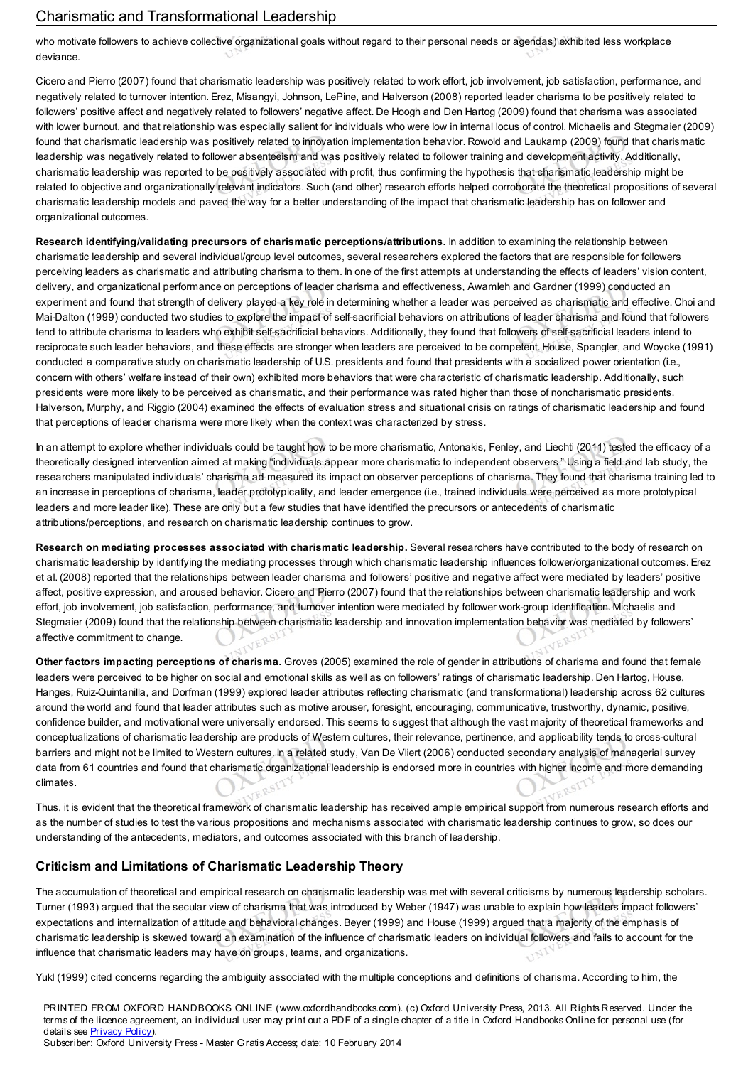who motivate followers to achieve collective organizational goals without regard to their personal needs or agendas) exhibited less workplace deviance.

Cicero and Pierro [\(2007\)](#page-12-6) found that charismatic leadership was positively related to work effort, job involvement, job satisfaction, performance, and negatively related to turnover intention. Erez, Misangyi, Johnson, LePine, and [Halverson](#page-12-7) (2008) reported leader charisma to be positively related to followers' positive affect and negatively related to followers' negative affect. De Hoogh and Den [Hartog](#page-12-8) (2009) found that charisma was associated with lower burnout, and that relationship was especially salient for individuals who were low in internal locus of control. Michaelis and [Stegmaier](#page-14-10) (2009) found that charismatic leadership was positively related to innovation implementation behavior. Rowold and [Laukamp](#page-14-11) (2009) found that charismatic leadership was negatively related to follower absenteeism and was positively related to follower training and development activity. Additionally, charismatic leadership was reported to be positively associated with profit, thus confirming the hypothesis that charismatic leadership might be related to objective and organizationally relevant indicators. Such (and other) research efforts helped corroborate the theoretical propositions of several charismatic leadership models and paved the way for a better understanding of the impact that charismatic leadership has on follower and organizational outcomes.

**Research identifying/validating precursors of charismatic perceptions/attributions.** In addition to examining the relationship between charismatic leadership and several individual/group level outcomes, several researchers explored the factors that are responsible for followers perceiving leaders as charismatic and attributing charisma to them. In one of the first attempts at understanding the effects of leaders' vision content, delivery, and organizational performance on perceptions of leader charisma and effectiveness, [Awamleh](#page-11-1) and Gardner (1999) conducted an experiment and found that strength of delivery played a key role in determining whether a leader was perceived as charismatic and effective. Choi and Mai-Dalton (1999) conducted two studies to explore the impact of [self-sacrificial](#page-12-9) behaviors on attributions of leader charisma and found that followers tend to attribute charisma to leaders who exhibit self-sacrificial behaviors. Additionally, they found that followers of self-sacrificial leaders intend to reciprocate such leader behaviors, and these effects are stronger when leaders are perceived to be competent. House, Spangler, and Woycke (1991) conducted a comparative study on charismatic leadership of U.S. presidents and found that presidents with a socialized power orientation (i.e., concern with others' welfare instead of their own) exhibited more behaviors that were characteristic of charismatic leadership. Additionally, such presidents were more likely to be perceived as charismatic, and their performance was rated higher than those of noncharismatic presidents. [Halverson,](#page-13-14) Murphy, and Riggio (2004) examined the effects of evaluation stress and situational crisis on ratings of charismatic leadership and found that perceptions of leader charisma were more likely when the context was characterized by stress.

In an attempt to explore whether individuals could be taught how to be more charismatic, Antonakis, Fenley, and Liechti (2011) tested the efficacy of a theoretically designed intervention aimed at making "individuals appear more charismatic to independent observers." Using a field and lab study, the researchers manipulated individuals' charisma ad measured its impact on observer perceptions of charisma. They found that charisma training led to an increase in perceptions of charisma, leader prototypicality, and leader emergence (i.e., trained individuals were perceived as more prototypical leaders and more leader like). These are only but a few studies that have identified the precursors or antecedents of charismatic attributions/perceptions, and research on charismatic leadership continues to grow.

**Research on mediating processes associated with charismatic leadership.** Several researchers have contributed to the body of research on charismatic leadership by identifying the mediating processes through which charismatic leadership influences [follower/organizational](#page-12-7) outcomes. Erez et al. (2008) reported that the relationships between leader charisma and followers' positive and negative affect were mediated by leaders' positive affect, positive expression, and aroused behavior. [Cicero](#page-12-6) and Pierro (2007) found that the relationships between charismatic leadership and work effort, job involvement, job satisfaction, [performance,](#page-14-10) and turnover intention were mediated by follower work-group identification. Michaelis and Stegmaier (2009) found that the relationship between charismatic leadership and innovation implementation behavior was mediated by followers' affective commitment to change.

**Other factors impacting perceptions of charisma.** [Groves](#page-13-15) (2005) examined the role of gender in attributions of charisma and found that female leaders were perceived to be higher on social and emotional skills as well as on followers' ratings of charismatic leadership. Den Hartog, House, Hanges, Ruiz-Quintanilla, and Dorfman (1999) explored leader attributes reflecting charismatic (and [transformational\)](#page-12-10) leadership across 62 cultures around the world and found that leader attributes such as motive arouser, foresight, encouraging, communicative, trustworthy, dynamic, positive, confidence builder, and motivational were universally endorsed. This seems to suggest that although the vast majority of theoretical frameworks and conceptualizations of charismatic leadership are products of Western cultures, their relevance, pertinence, and applicability tends to cross-cultural barriers and might not be limited to Western cultures. In a related study, Van De Vliert [\(2006\)](#page-15-7) conducted secondary analysis of managerial survey data from 61 countries and found that charismatic organizational leadership is endorsed more in countries with higher income and more demanding climates.

Thus, it is evident that the theoretical framework of charismatic leadership has received ample empirical support from numerous research efforts and as the number of studies to test the various propositions and mechanisms associated with charismatic leadership continues to grow, so does our understanding of the antecedents, mediators, and outcomes associated with this branch of leadership.

### **Criticism and Limitations of Charismatic Leadership Theory**

The accumulation of theoretical and empirical research on charismatic leadership was met with several criticisms by numerous leadership scholars. Turner [\(1993\)](#page-15-8) argued that the secular view of charisma that was introduced by [Weber](#page-15-4) (1947) was unable to explain how leaders impact followers' expectations and internalization of attitude and behavioral changes. Beyer [\(1999\)](#page-12-11) and House [\(1999\)](#page-13-16) argued that a majority of the emphasis of charismatic leadership is skewed toward an examination of the influence of charismatic leaders on individual followers and fails to account for the influence that charismatic leaders may have on groups, teams, and organizations.

Yukl [\(1999\)](#page-15-9) cited concerns regarding the ambiguity associated with the multiple conceptions and definitions of charisma. According to him, the

PRINTED FROM OXFORD HANDBOOKS ONLINE (www.oxfordhandbooks.com). (c) Oxford University Press, 2013. All Rights Reserved. Under the terms of the licence agreement, an individual user may print out a PDF of a single chapter of a title in Oxford Handbooks Online for personal use (for details see [Privacy](http://www.oxfordhandbooks.com/page/privacy-policy/privacy-policy-and-legal-notice;jsessionid=6A5D18338CC47F8B88A926DE7A529563) Policy).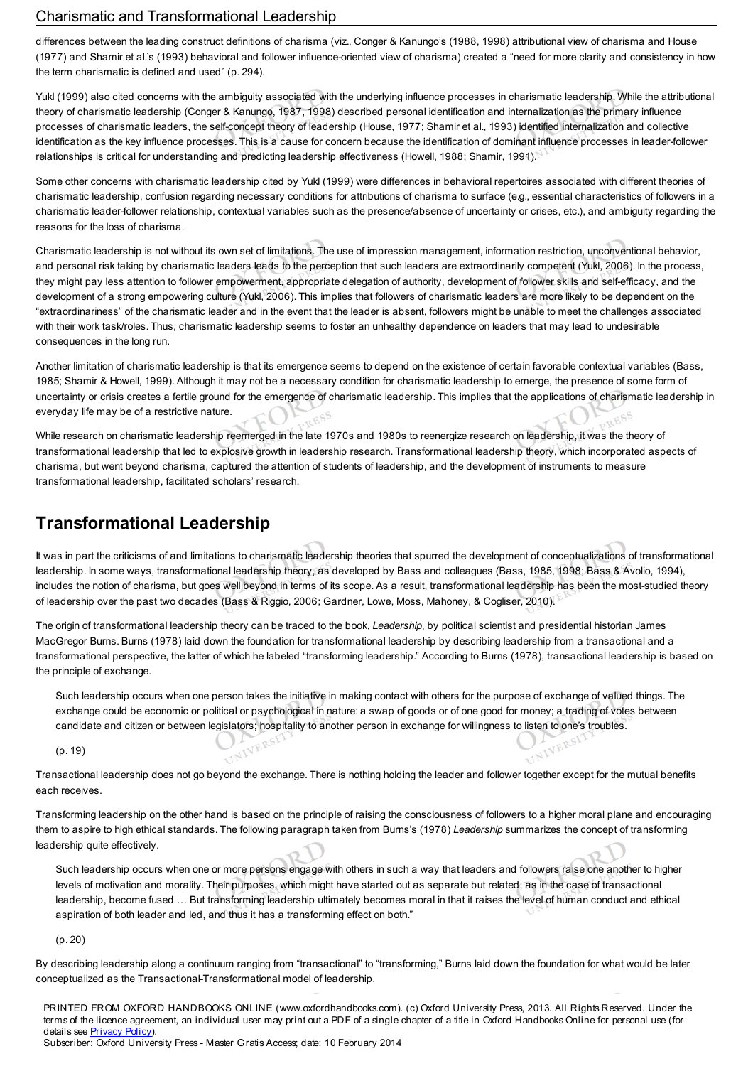differences between the leading construct definitions of charisma (viz., Conger & [Kanungo's](#page-13-17) (1988, [1998](#page-12-1)) attributional view of charisma and House (1977) and [Shamir](#page-14-4) et al.'s (1993) behavioral and follower [influence-oriented](#page-13-5) view of charisma) created a "need for more clarity and consistency in how the term charismatic is defined and used" (p. 294).

Yukl [\(1999\)](#page-15-9) also cited concerns with the ambiguity associated with the underlying influence processes in charismatic leadership. While the attributional theory of charismatic leadership (Conger & [Kanungo,](#page-12-0) 1987, [1998](#page-12-1)) described personal identification and internalization as the primary influence processes of charismatic leaders, the self-concept theory of leadership ([House,](#page-13-5) 1977; [Shamir](#page-14-4) et al., 1993) identified internalization and collective identification as the key influence processes. This is a cause for concern because the identification of dominant influence processes in leader-follower relationships is critical for understanding and predicting leadership effectiveness [\(Howell,](#page-13-17) 1988; [Shamir,](#page-14-12) 1991).

Some other concerns with charismatic leadership cited by Yukl [\(1999\)](#page-15-9) were differences in behavioral repertoires associated with different theories of charismatic leadership, confusion regarding necessary conditions for attributions of charisma to surface (e.g., essential characteristics of followers in a charismatic leader-follower relationship, contextual variables such as the presence/absence of uncertainty or crises, etc.), and ambiguity regarding the reasons for the loss of charisma.

Charismatic leadership is not without its own set of limitations. The use of impression management, information restriction, unconventional behavior, and personal risk taking by charismatic leaders leads to the perception that such leaders are extraordinarily competent (Yukl, [2006](#page-15-6)). In the process, they might pay less attention to follower empowerment, appropriate delegation of authority, development of follower skills and self-efficacy, and the development of a strong empowering culture (Yukl, [2006](#page-15-6)). This implies that followers of charismatic leaders are more likely to be dependent on the "extraordinariness" of the charismatic leader and in the event that the leader is absent, followers might be unable to meet the challenges associated with their work task/roles. Thus, charismatic leadership seems to foster an unhealthy dependence on leaders that may lead to undesirable consequences in the long run.

Another limitation of [charismatic](#page-11-0) leadership is that its emergence seems to depend on the existence of certain favorable contextual variables (Bass, 1985; [Shamir](#page-15-10) & Howell, 1999). Although it may not be a necessary condition for charismatic leadership to emerge, the presence of some form of uncertainty or crisis creates a fertile ground for the emergence of charismatic leadership. This implies that the applications of charismatic leadership in everyday life may be of a restrictive nature.

While research on charismatic leadership reemerged in the late 1970s and 1980s to reenergize research on leadership, it was the theory of transformational leadership that led to explosive growth in leadership research. Transformational leadership theory, which incorporated aspects of charisma, but went beyond charisma, captured the attention of students of leadership, and the development of instruments to measure transformational leadership, facilitated scholars' research.

# **Transformational Leadership**

It was in part the criticisms of and limitations to charismatic leadership theories that spurred the development of conceptualizations of transformational leadership. In some ways, transformational leadership theory, as developed by Bass and colleagues [\(Bass,](#page-11-0) 1985, [1998](#page-11-2); Bass & [Avolio,](#page-11-3) 1994), includes the notion of charisma, but goes well beyond in terms of its scope. As a result, transformational leadership has been the most-studied theory of leadership over the past two decades (Bass & [Riggio,](#page-11-4) 2006; Gardner, Lowe, Moss, [Mahoney,](#page-13-0) & Cogliser, 2010).

The origin of transformational leadership theory can be traced to the book, *Leadership*, by political scientist and presidential historian James MacGregor Burns. Burns [\(1978\)](#page-12-12) laid down the foundation for transformational leadership by describing leadership from a transactional and a transformational perspective, the latter of which he labeled "transforming leadership." According to Burns [\(1978\)](#page-12-12), transactional leadership is based on the principle of exchange.

Such leadership occurs when one person takes the initiative in making contact with others for the purpose of exchange of valued things. The exchange could be economic or political or psychological in nature: a swap of goods or of one good for money; a trading of votes between candidate and citizen or between legislators; hospitality to another person in exchange for willingness to listen to one's troubles.<br>(p. 19)

(p. 19)

Transactional leadership does not go beyond the exchange. There is nothing holding the leader and follower together except for the mutual benefits each receives.

Transforming leadership on the other hand is based on the principle of raising the consciousness of followers to a higher moral plane and encouraging them to aspire to high ethical standards. The following paragraph taken from [Burns's](#page-12-12) (1978) *Leadership* summarizes the concept of transforming leadership quite effectively.

Such leadership occurs when one or more persons engage with others in such a way that leaders and followers raise one another to higher levels of motivation and morality. Their purposes, which might have started out as separate but related, as in the case of transactional leadership, become fused … But transforming leadership ultimately becomes moral in that it raises the level of human conduct and ethical aspiration of both leader and led, and thus it has a transforming effect on both."

(p. 20)

By describing leadership along a continuum ranging from "transactional" to "transforming," Burns laid down the foundation for what would be later conceptualized as the Transactional-Transformational model of leadership.

PRINTED FROM OXFORD HANDBOOKS ONLINE (www.oxfordhandbooks.com). (c) Oxford University Press, 2013. All Rights Reserved. Under the terms of the licence agreement, an individual user may print out a PDF of a single chapter of a title in Oxford Handbooks Online for personal use (for details see [Privacy](http://www.oxfordhandbooks.com/page/privacy-policy/privacy-policy-and-legal-notice;jsessionid=6A5D18338CC47F8B88A926DE7A529563) Policy).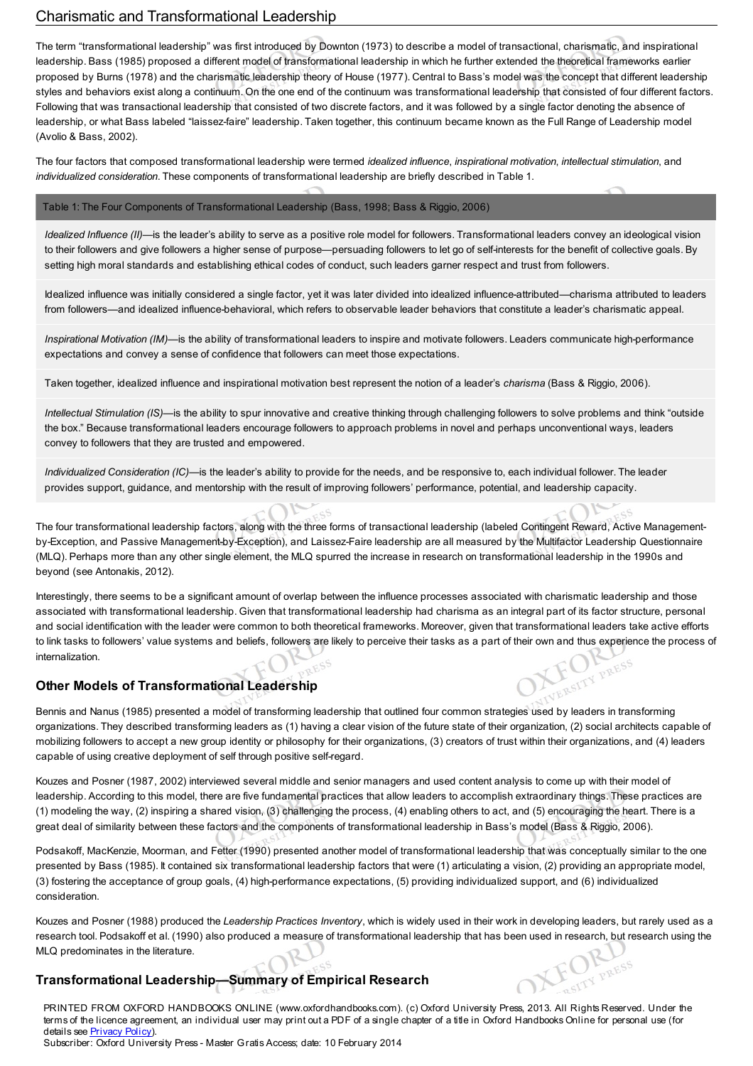The term "transformational leadership" was first introduced by [Downton](#page-12-13) (1973) to describe a model of transactional, charismatic, and inspirational leadership. Bass [\(1985\)](#page-11-0) proposed a different model of transformational leadership in which he further extended the theoretical frameworks earlier proposed by Burns [\(1978\)](#page-12-12) and the charismatic leadership theory of House [\(1977\)](#page-13-5). Central to Bass's model was the concept that different leadership styles and behaviors exist along a continuum. On the one end of the continuum was transformational leadership that consisted of four different factors. Following that was transactional leadership that consisted of two discrete factors, and it was followed by a single factor denoting the absence of leadership, or what Bass labeled "laissez-faire" leadership. Taken together, this continuum became known as the Full Range of Leadership model [\(Avolio](#page-11-5) & Bass, 2002).

The four factors that composed transformational leadership were termed *idealized influence*, *inspirational motivation*, *intellectual stimulation*, and *individualized consideration*. These components of transformational leadership are briefly described in [Table](#page-7-0) 1.

#### <span id="page-7-0"></span>Table 1: The Four Components of Transformational Leadership [\(Bass,](#page-11-2) 1998; Bass & [Riggio,](#page-11-4) 2006)

*Idealized Influence (II)*—is the leader's ability to serve as a positive role model for followers. Transformational leaders convey an ideological vision to their followers and give followers a higher sense of purpose—persuading followers to let go of self-interests for the benefit of collective goals. By setting high moral standards and establishing ethical codes of conduct, such leaders garner respect and trust from followers.

Idealized influence was initially considered a single factor, yet it was later divided into idealized influence-attributed—charisma attributed to leaders from followers—and idealized influence-behavioral, which refers to observable leader behaviors that constitute a leader's charismatic appeal.

*Inspirational Motivation (IM)*—is the ability of transformational leaders to inspire and motivate followers. Leaders communicate high-performance expectations and convey a sense of confidence that followers can meet those expectations.

Taken together, idealized influence and inspirational motivation best represent the notion of a leader's *charisma* (Bass & [Riggio,](#page-11-4) 2006).

*Intellectual Stimulation (IS)*—is the ability to spur innovative and creative thinking through challenging followers to solve problems and think "outside the box." Because transformational leaders encourage followers to approach problems in novel and perhaps unconventional ways, leaders convey to followers that they are trusted and empowered.

*Individualized Consideration (IC)*—is the leader's ability to provide for the needs, and be responsive to, each individual follower. The leader provides support, guidance, and mentorship with the result of improving followers' performance, potential, and leadership capacity.

The four transformational leadership factors, along with the three forms of transactional leadership (labeled Contingent Reward, Active Managementby-Exception, and Passive Management-by-Exception), and Laissez-Faire leadership are all measured by the Multifactor Leadership Questionnaire (MLQ). Perhaps more than any other single element, the MLQ spurred the increase in research on transformational leadership in the 1990s and beyond (see [Antonakis,](#page-11-6) 2012).

Interestingly, there seems to be a significant amount of overlap between the influence processes associated with charismatic leadership and those associated with transformational leadership. Given that transformational leadership had charisma as an integral part of its factor structure, personal and social identification with the leader were common to both theoretical frameworks. Moreover, given that transformational leaders take active efforts to link tasks to followers' value systems and beliefs, followers are likely to perceive their tasks as a part of their own and thus experience the process of internalization. EQUERESS PRESS

#### **Other Models of Transformational Leadership**

[Bennis](#page-12-14) and Nanus (1985) presented a model of transforming leadership that outlined four common strategies used by leaders in transforming organizations. They described transforming leaders as (1) having a clear vision of the future state of their organization, (2) social architects capable of mobilizing followers to accept a new group identity or philosophy for their organizations, (3) creators of trust within their organizations, and (4) leaders capable of using creative deployment of self through positive self-regard.

[Kouzes](#page-14-13) and Posner (1987, [2002](#page-14-14)) interviewed several middle and senior managers and used content analysis to come up with their model of leadership. According to this model, there are five fundamental practices that allow leaders to accomplish extraordinary things. These practices are (1) modeling the way, (2) inspiring a shared vision, (3) challenging the process, (4) enabling others to act, and (5) encouraging the heart. There is a great deal of similarity between these factors and the components of transformational leadership in Bass's model (Bass & [Riggio,](#page-11-4) 2006).

Podsakoff, [MacKenzie,](#page-14-15) Moorman, and Fetter (1990) presented another model of transformational leadership that was conceptually similar to the one presented by Bass [\(1985\)](#page-11-0). It contained six transformational leadership factors that were (1) articulating a vision, (2) providing an appropriate model, (3) fostering the acceptance of group goals, (4) high-performance expectations, (5) providing individualized support, and (6) individualized consideration.

Kouzes and Posner (1988) produced the *Leadership Practices Inventory*, which is widely used in their work in developing leaders, but rarely used as a research tool. [Podsakoff](#page-14-15) et al. (1990) also produced a measure of transformational leadership that has been used in research, but research using the **FORT** MLQ predominates in the literature. ITY PRESS

### **Transformational Leadership—Summary of Empirical Research**

PRINTED FROM OXFORD HANDBOOKS ONLINE (www.oxfordhandbooks.com). (c) Oxford University Press, 2013. All Rights Reserved. Under the terms of the licence agreement, an individual user may print out a PDF of a single chapter of a title in Oxford Handbooks Online for personal use (for details see [Privacy](http://www.oxfordhandbooks.com/page/privacy-policy/privacy-policy-and-legal-notice;jsessionid=6A5D18338CC47F8B88A926DE7A529563) Policy).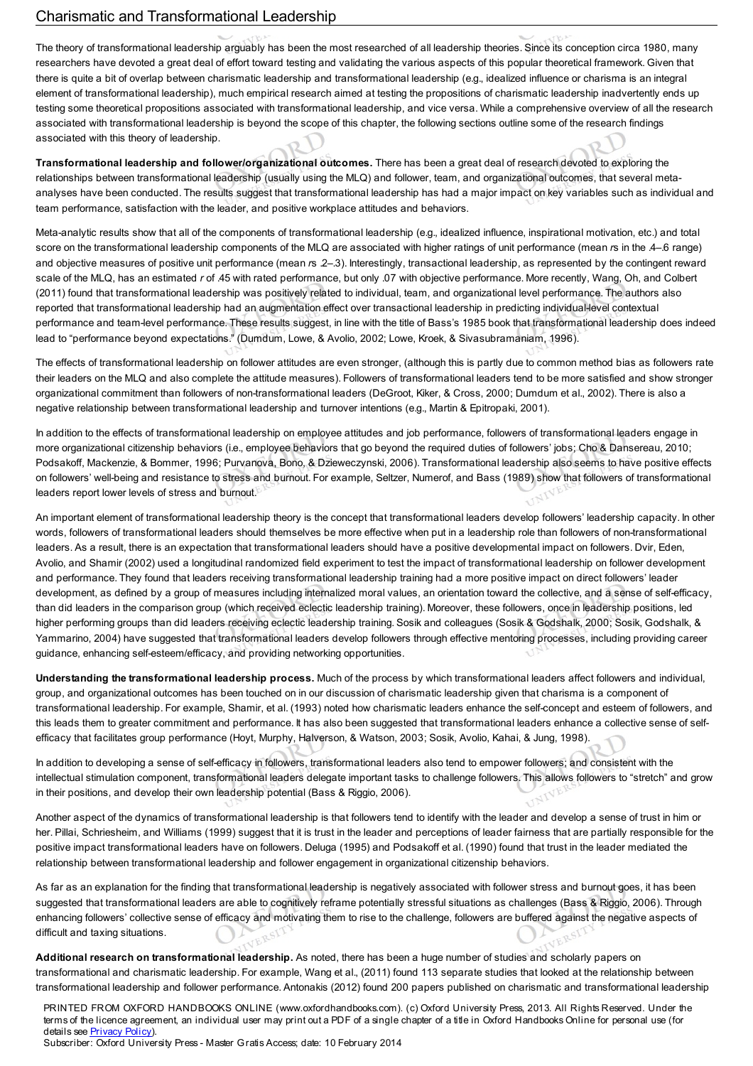The theory of transformational leadership arguably has been the most researched of all leadership theories. Since its conception circa 1980, many researchers have devoted a great deal of effort toward testing and validating the various aspects of this popular theoretical framework. Given that there is quite a bit of overlap between charismatic leadership and transformational leadership (e.g., idealized influence or charisma is an integral element of transformational leadership), much empirical research aimed at testing the propositions of charismatic leadership inadvertently ends up testing some theoretical propositions associated with transformational leadership, and vice versa. While a comprehensive overview of all the research associated with transformational leadership is beyond the scope of this chapter, the following sections outline some of the research findings associated with this theory of leadership.

**Transformational leadership and follower/organizational outcomes.** There has been a great deal of research devoted to exploring the relationships between transformational leadership (usually using the MLQ) and follower, team, and organizational outcomes, that several metaanalyses have been conducted. The results suggest that transformational leadership has had a major impact on key variables such as individual and team performance, satisfaction with the leader, and positive workplace attitudes and behaviors.

Meta-analytic results show that all of the components of transformational leadership (e.g., idealized influence, inspirational motivation, etc.) and total score on the transformational leadership components of the MLQ are associated with higher ratings of unit performance (mean *r*s in the .4–.6 range) and objective measures of positive unit performance (mean *r*s .2–.3). Interestingly, transactional leadership, as represented by the contingent reward scale of the MLQ, has an estimated *r* of .45 with rated performance, but only .07 with objective performance. More recently, Wang, Oh, and Colbert (2011) found that [transformational](#page-15-11) leadership was positively related to individual, team, and organizational level performance. The authors also reported that transformational leadership had an augmentation effect over transactional leadership in predicting individual-level contextual performance and team-level performance. These results suggest, in line with the title of [Bass's](#page-11-0) 1985 book that transformational leadership does indeed lead to "performance beyond expectations." [\(Dumdum,](#page-12-15) Lowe, & Avolio, 2002; Lowe, Kroek, & [Sivasubramaniam,](#page-14-16) 1996).

The effects of transformational leadership on follower attitudes are even stronger, (although this is partly due to common method bias as followers rate their leaders on the MLQ and also complete the attitude measures). Followers of transformational leaders tend to be more satisfied and show stronger organizational commitment than followers of non-transformational leaders [\(DeGroot,](#page-12-16) Kiker, & Cross, 2000; [Dumdum](#page-12-15) et al., 2002). There is also a negative relationship between transformational leadership and turnover intentions (e.g., Martin & [Epitropaki,](#page-14-17) 2001).

In addition to the effects of transformational leadership on employee attitudes and job performance, followers of transformational leaders engage in more organizational citizenship behaviors (i.e., employee behaviors that go beyond the required duties of followers' jobs; Cho & [Dansereau,](#page-12-17) 2010; Podsakoff, [Mackenzie,](#page-14-18) & Bommer, 1996; Purvanova, Bono, & [Dzieweczynski,](#page-14-19) 2006). Transformational leadership also seems to have positive effects on followers' well-being and resistance to stress and burnout. For example, Seltzer, [Numerof,](#page-14-20) and Bass (1989) show that followers of transformational leaders report lower levels of stress and burnout.

An important element of transformational leadership theory is the concept that transformational leaders develop followers' leadership capacity. In other words, followers of transformational leaders should themselves be more effective when put in a leadership role than followers of non-transformational leaders. As a result, there is an expectation that [transformational](#page-12-18) leaders should have a positive developmental impact on followers. Dvir, Eden, Avolio, and Shamir (2002) used a longitudinal randomized field experiment to test the impact of transformational leadership on follower development and performance. They found that leaders receiving transformational leadership training had a more positive impact on direct followers' leader development, as defined by a group of measures including internalized moral values, an orientation toward the collective, and a sense of self-efficacy, than did leaders in the comparison group (which received eclectic leadership training). Moreover, these followers, once in leadership positions, led higher performing groups than did leaders receiving eclectic leadership training. Sosik and colleagues (Sosik & [Godshalk,](#page-15-12) 2000; Sosik, Godshalk, & Yammarino, 2004) have suggested that [transformational](#page-15-13) leaders develop followers through effective mentoring processes, including providing career guidance, enhancing self-esteem/efficacy, and providing networking opportunities.

**Understanding the transformational leadership process.** Much of the process by which transformational leaders affect followers and individual, group, and organizational outcomes has been touched on in our discussion of charismatic leadership given that charisma is a component of transformational leadership. For example, [Shamir,](#page-14-4) et al. (1993) noted how charismatic leaders enhance the self-concept and esteem of followers, and this leads them to greater commitment and performance. It has also been suggested that transformational leaders enhance a collective sense of selfefficacy that facilitates group performance (Hoyt, Murphy, [Halverson,](#page-13-18) & Watson, 2003; Sosik, [Avolio,](#page-15-14) Kahai, & Jung, 1998).

In addition to developing a sense of self-efficacy in followers, transformational leaders also tend to empower followers; and consistent with the intellectual stimulation component, transformational leaders delegate important tasks to challenge followers. This allows followers to "stretch" and grow in their positions, and develop their own leadership potential (Bass & [Riggio,](#page-11-4) 2006).

Another aspect of the dynamics of transformational leadership is that followers tend to identify with the leader and develop a sense of trust in him or her. Pillai, [Schriesheim,](#page-14-21) and Williams (1999) suggest that it is trust in the leader and perceptions of leader fairness that are partially responsible for the positive impact transformational leaders have on followers. [Deluga](#page-12-19) (1995) and [Podsakoff](#page-14-15) et al. (1990) found that trust in the leader mediated the relationship between transformational leadership and follower engagement in organizational citizenship behaviors.

As far as an explanation for the finding that transformational leadership is negatively associated with follower stress and burnout goes, it has been suggested that transformational leaders are able to cognitively reframe potentially stressful situations as challenges (Bass & [Riggio,](#page-11-4) 2006). Through enhancing followers' collective sense of efficacy and motivating them to rise to the challenge, followers are buffered against the negative aspects of difficult and taxing situations. RSI

**Additional research on transformational leadership.** As noted, there has been a huge number of studies and scholarly papers on transformational and charismatic leadership. For example, Wang et al., [\(2011\)](#page-15-11) found 113 separate studies that looked at the relationship between transformational leadership and follower performance. [Antonakis](#page-11-6) (2012) found 200 papers published on charismatic and transformational leadership

PRINTED FROM OXFORD HANDBOOKS ONLINE (www.oxfordhandbooks.com). (c) Oxford University Press, 2013. All Rights Reserved. Under the terms of the licence agreement, an individual user may print out a PDF of a single chapter of a title in Oxford Handbooks Online for personal use (for details see [Privacy](http://www.oxfordhandbooks.com/page/privacy-policy/privacy-policy-and-legal-notice;jsessionid=6A5D18338CC47F8B88A926DE7A529563) Policy).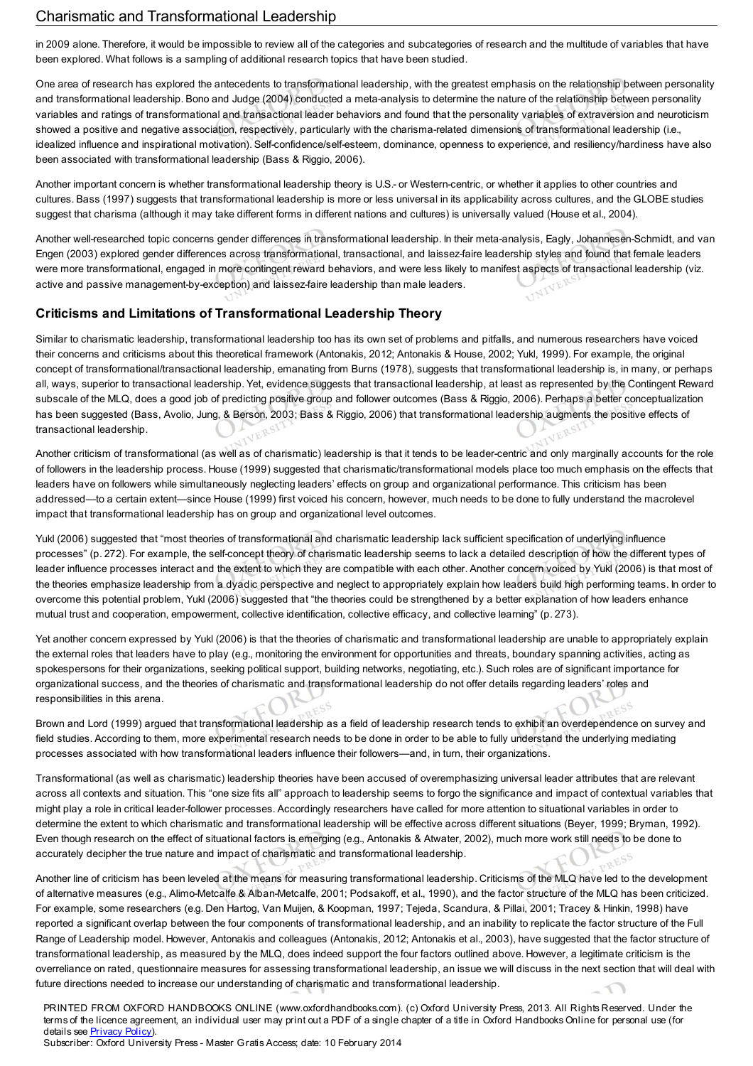in 2009 alone. Therefore, it would be impossible to review all of the categories and subcategories of research and the multitude of variables that have been explored. What follows is a sampling of additional research topics that have been studied.

One area of research has explored the antecedents to transformational leadership, with the greatest emphasis on the relationship between personality and transformational leadership. Bono and Judge (2004) conducted a meta-analysis to determine the nature of the relationship between personality variables and ratings of transformational and transactional leader behaviors and found that the personality variables of extraversion and neuroticism showed a positive and negative association, respectively, particularly with the charisma-related dimensions of transformational leadership (i.e., idealized influence and inspirational motivation). Self-confidence/self-esteem, dominance, openness to experience, and resiliency/hardiness have also been associated with transformational leadership (Bass & [Riggio,](#page-11-4) 2006).

Another important concern is whether transformational leadership theory is U.S.- or Western-centric, or whether it applies to other countries and cultures. Bass [\(1997\)](#page-11-7) suggests that transformational leadership is more or less universal in its applicability across cultures, and the GLOBE studies suggest that charisma (although it may take different forms in different nations and cultures) is universally valued (House et al., 2004).

Another well-researched topic concerns gender differences in transformational leadership. In their meta-analysis, Eagly, [Johannesen-Schmidt,](#page-12-20) and van Engen (2003) explored gender differences across transformational, transactional, and laissez-faire leadership styles and found that female leaders were more transformational, engaged in more contingent reward behaviors, and were less likely to manifest aspects of transactional leadership (viz.<br>active and passive management-by-exception) and laissez-faire leadership t active and passive management-by-exception) and laissez-faire leadership than male leaders.

### **Criticisms and Limitations of Transformational Leadership Theory**

Similar to charismatic leadership, transformational leadership too has its own set of problems and pitfalls, and numerous researchers have voiced their concerns and criticisms about this theoretical framework [\(Antonakis,](#page-11-6) 2012; Antonakis & House, 2002; Yukl, [1999](#page-15-9)). For example, the original concept of transformational/transactional leadership, emanating from Burns [\(1978\)](#page-12-12), suggests that transformational leadership is, in many, or perhaps all, ways, superior to transactional leadership. Yet, evidence suggests that transactional leadership, at least as represented by the Contingent Reward subscale of the MLQ, does a good job of predicting positive group and follower outcomes (Bass & [Riggio,](#page-11-4) 2006). Perhaps a better conceptualization has been suggested (Bass, Avolio, Jung, & [Berson,](#page-11-8) 2003; Bass & [Riggio,](#page-11-4) 2006) that transformational leadership augments the positive effects of transactional leadership.

Another criticism of transformational (as well as of charismatic) leadership is that it tends to be leader-centric and only marginally accounts for the role of followers in the leadership process. House [\(1999\)](#page-13-16) suggested that charismatic/transformational models place too much emphasis on the effects that leaders have on followers while simultaneously neglecting leaders' effects on group and organizational performance. This criticism has been addressed—to a certain extent—since House [\(1999\)](#page-13-16) first voiced his concern, however, much needs to be done to fully understand the macrolevel impact that transformational leadership has on group and organizational level outcomes.

Yukl [\(2006\)](#page-15-6) suggested that "most theories of transformational and charismatic leadership lack sufficient specification of underlying influence processes" (p. 272). For example, the self-concept theory of charismatic leadership seems to lack a detailed description of how the different types of leader influence processes interact and the extent to which they are compatible with each other. Another concern voiced by Yukl [\(2006\)](#page-15-6) is that most of the theories emphasize leadership from a dyadic perspective and neglect to appropriately explain how leaders build high performing teams. In order to overcome this potential problem, Yukl [\(2006\)](#page-15-6) suggested that "the theories could be strengthened by a better explanation of how leaders enhance mutual trust and cooperation, empowerment, collective identification, collective efficacy, and collective learning" (p. 273).

Yet another concern expressed by Yukl [\(2006\)](#page-15-6) is that the theories of charismatic and transformational leadership are unable to appropriately explain the external roles that leaders have to play (e.g., monitoring the environment for opportunities and threats, boundary spanning activities, acting as spokespersons for their organizations, seeking political support, building networks, negotiating, etc.). Such roles are of significant importance for organizational success, and the theories of charismatic and transformational leadership do not offer details regarding leaders' roles and responsibilities in this arena.

Brown and Lord [\(1999\)](#page-12-21) argued that transformational leadership as a field of leadership research tends to exhibit an overdependence on survey and field studies. According to them, more experimental research needs to be done in order to be able to fully understand the underlying mediating processes associated with how transformational leaders influence their followers—and, in turn, their organizations.

Transformational (as well as charismatic) leadership theories have been accused of overemphasizing universal leader attributes that are relevant across all contexts and situation. This "one size fits all" approach to leadership seems to forgo the significance and impact of contextual variables that might play a role in critical leader-follower processes. Accordingly researchers have called for more attention to situational variables in order to determine the extent to which charismatic and transformational leadership will be effective across different situations [\(Beyer,](#page-12-11) 1999; Bryman, 1992). Even though research on the effect of situational factors is emerging (e.g., Antonakis & Atwater, 2002), much more work still needs to be done to accurately decipher the true nature and impact of charismatic and transformational leadership.

Another line of criticism has been leveled at the means for measuring transformational leadership. Criticisms of the MLQ have led to the development of alternative measures (e.g., Alimo-Metcalfe & Alban-Metcalfe, 2001; [Podsakoff,](#page-14-15) et al., 1990), and the factor structure of the MLQ has been criticized. For example, some researchers (e.g. Den Hartog, Van Muijen, & Koopman, 1997; Tejeda, [Scandura,](#page-15-15) & Pillai, 2001; [Tracey](#page-15-16) & Hinkin, 1998) have reported a significant overlap between the four components of transformational leadership, and an inability to replicate the factor structure of the Full Range of Leadership model. However, Antonakis and colleagues ([Antonakis,](#page-11-6) 2012; [Antonakis](#page-11-9) et al., 2003), have suggested that the factor structure of transformational leadership, as measured by the MLQ, does indeed support the four factors outlined above. However, a legitimate criticism is the overreliance on rated, questionnaire measures for assessing transformational leadership, an issue we will discuss in the next section that will deal with future directions needed to increase our understanding of charismatic and transformational leadership.

PRINTED FROM OXFORD HANDBOOKS ONLINE (www.oxfordhandbooks.com). (c) Oxford University Press, 2013. All Rights Reserved. Under the terms of the licence agreement, an individual user may print out a PDF of a single chapter of a title in Oxford Handbooks Online for personal use (for details see [Privacy](http://www.oxfordhandbooks.com/page/privacy-policy/privacy-policy-and-legal-notice;jsessionid=6A5D18338CC47F8B88A926DE7A529563) Policy).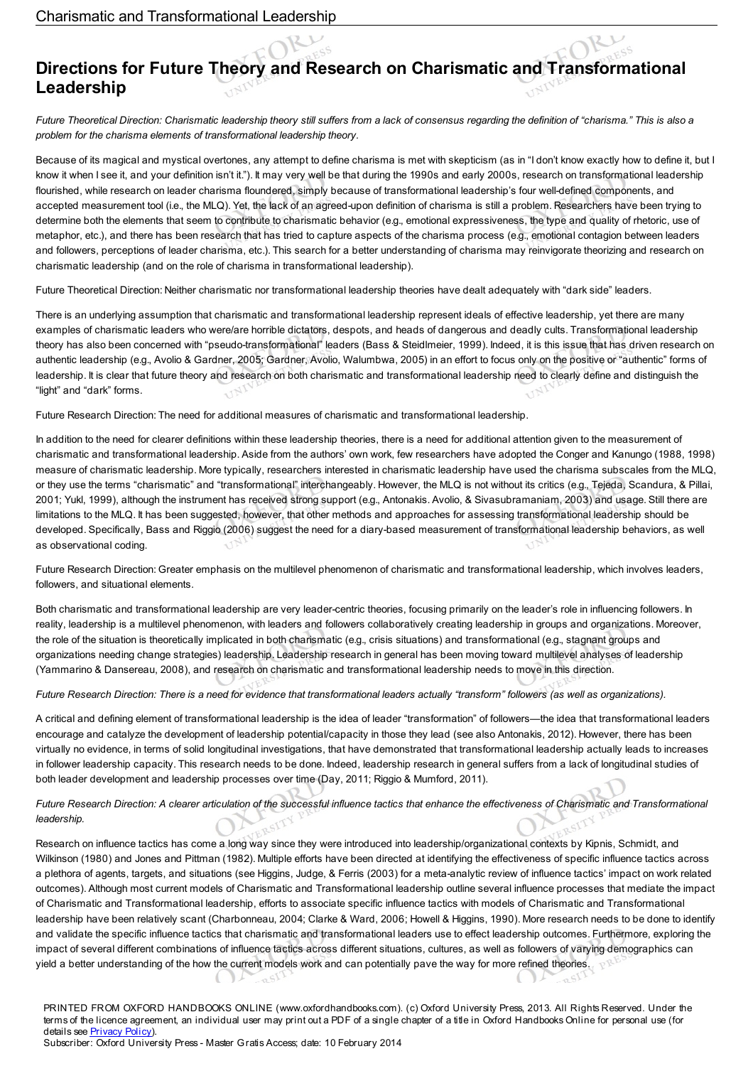# **Directions for Future Theory and Research on Charismatic and Transformational Leadership**

Future Theoretical Direction: Charismatic leadership theory still suffers from a lack of consensus regarding the definition of "charisma." This is also a *problem for the charisma elements of transformational leadership theory.*

Because of its magical and mystical overtones, any attempt to define charisma is met with skepticism (as in "I don't know exactly how to define it, but I know it when I see it, and your definition isn't it."). It may very well be that during the 1990s and early 2000s, research on transformational leadership flourished, while research on leader charisma floundered, simply because of transformational leadership's four well-defined components, and accepted measurement tool (i.e., the MLQ). Yet, the lack of an agreed-upon definition of charisma is still a problem. Researchers have been trying to determine both the elements that seem to contribute to charismatic behavior (e.g., emotional expressiveness, the type and quality of rhetoric, use of metaphor, etc.), and there has been research that has tried to capture aspects of the charisma process (e.g., emotional contagion between leaders and followers, perceptions of leader charisma, etc.). This search for a better understanding of charisma may reinvigorate theorizing and research on charismatic leadership (and on the role of charisma in transformational leadership).

Future Theoretical Direction: Neither charismatic nor transformational leadership theories have dealt adequately with "dark side" leaders.

There is an underlying assumption that charismatic and transformational leadership represent ideals of effective leadership, yet there are many examples of charismatic leaders who were/are horrible dictators, despots, and heads of dangerous and deadly cults. Transformational leadership theory has also been concerned with "pseudo-transformational" leaders (Bass & [Steidlmeier,](#page-12-4) 1999). Indeed, it is this issue that has driven research on authentic leadership (e.g., Avolio & [Gardner,](#page-11-10) 2005; Gardner, Avolio, [Walumbwa,](#page-13-19) 2005) in an effort to focus only on the positive or "authentic" forms of leadership. It is clear that future theory and research on both charismatic and transformational leadership need to clearly define and distinguish the "light" and "dark" forms.

Future Research Direction: The need for additional measures of charismatic and transformational leadership.

In addition to the need for clearer definitions within these leadership theories, there is a need for additional attention given to the measurement of charismatic and transformational leadership. Aside from the authors' own work, few researchers have adopted the Conger and [Kanungo](#page-13-17) (1988, [1998](#page-12-1)) measure of charismatic leadership. More typically, researchers interested in charismatic leadership have used the charisma subscales from the MLQ, or they use the terms "charismatic" and ["transformational"](#page-15-15) interchangeably. However, the MLQ is not without its critics (e.g., Tejeda, Scandura, & Pillai, 2001; Yukl, [1999](#page-15-9)), although the instrument has received strong support (e.g., Antonakis. Avolio, & [Sivasubramaniam,](#page-11-9) 2003) and usage. Still there are limitations to the MLQ. It has been suggested, however, that other methods and approaches for assessing transformational leadership should be developed. Specifically, Bass and Riggio [\(2006\)](#page-11-4) suggest the need for a diary-based measurement of transformational leadership behaviors, as well as observational coding.  $\sim$  1

Future Research Direction: Greater emphasis on the multilevel phenomenon of charismatic and transformational leadership, which involves leaders, followers, and situational elements.

Both charismatic and transformational leadership are very leader-centric theories, focusing primarily on the leader's role in influencing followers. In reality, leadership is a multilevel phenomenon, with leaders and followers collaboratively creating leadership in groups and organizations. Moreover, the role of the situation is theoretically implicated in both charismatic (e.g., crisis situations) and transformational (e.g., stagnant groups and organizations needing change strategies) leadership. Leadership research in general has been moving toward multilevel analyses of leadership [\(Yammarino](#page-15-17) & Dansereau, 2008), and research on charismatic and transformational leadership needs to move in this direction.

Future Research Direction: There is a need for evidence that transformational leaders actually "transform" followers (as well as organizations).

A critical and defining element of transformational leadership is the idea of leader "transformation" of followers—the idea that transformational leaders encourage and catalyze the development of leadership potential/capacity in those they lead (see also [Antonakis,](#page-11-6) 2012). However, there has been virtually no evidence, in terms of solid longitudinal investigations, that have demonstrated that transformational leadership actually leads to increases in follower leadership capacity. This research needs to be done. Indeed, leadership research in general suffers from a lack of longitudinal studies of both leader development and leadership processes over time [\(Day,](#page-12-22) 2011; Riggio & [Mumford,](#page-14-22) 2011).

Future Research Direction: A clearer articulation of the successful influence tactics that enhance the effectiveness of Charismatic and Transformational *leadership.*

Research on influence tactics has come a long way since they were introduced into [leadership/organizational](#page-13-20) contexts by Kipnis, Schmidt, and Wilkinson (1980) and Jones and [Pittman](#page-13-21) (1982). Multiple efforts have been directed at identifying the effectiveness of specific influence tactics across a plethora of agents, targets, and situations (see [Higgins,](#page-13-22) Judge, & Ferris (2003) for a meta-analytic review of influence tactics' impact on work related outcomes). Although most current models of Charismatic and Transformational leadership outline several influence processes that mediate the impact of Charismatic and Transformational leadership, efforts to associate specific influence tactics with models of Charismatic and Transformational leadership have been relatively scant [\(Charbonneau,](#page-12-23) 2004; [Clarke](#page-12-24) & Ward, 2006; Howell & [Higgins,](#page-13-23) 1990). More research needs to be done to identify and validate the specific influence tactics that charismatic and transformational leaders use to effect leadership outcomes. Furthermore, exploring the impact of several different combinations of influence tactics across different situations, cultures, as well as followers of varying demographics can yield a better understanding of the how the current models work and can potentially pave the way for more refined theories.

PRINTED FROM OXFORD HANDBOOKS ONLINE (www.oxfordhandbooks.com). (c) Oxford University Press, 2013. All Rights Reserved. Under the terms of the licence agreement, an individual user may print out a PDF of a single chapter of a title in Oxford Handbooks Online for personal use (for details see [Privacy](http://www.oxfordhandbooks.com/page/privacy-policy/privacy-policy-and-legal-notice;jsessionid=6A5D18338CC47F8B88A926DE7A529563) Policy).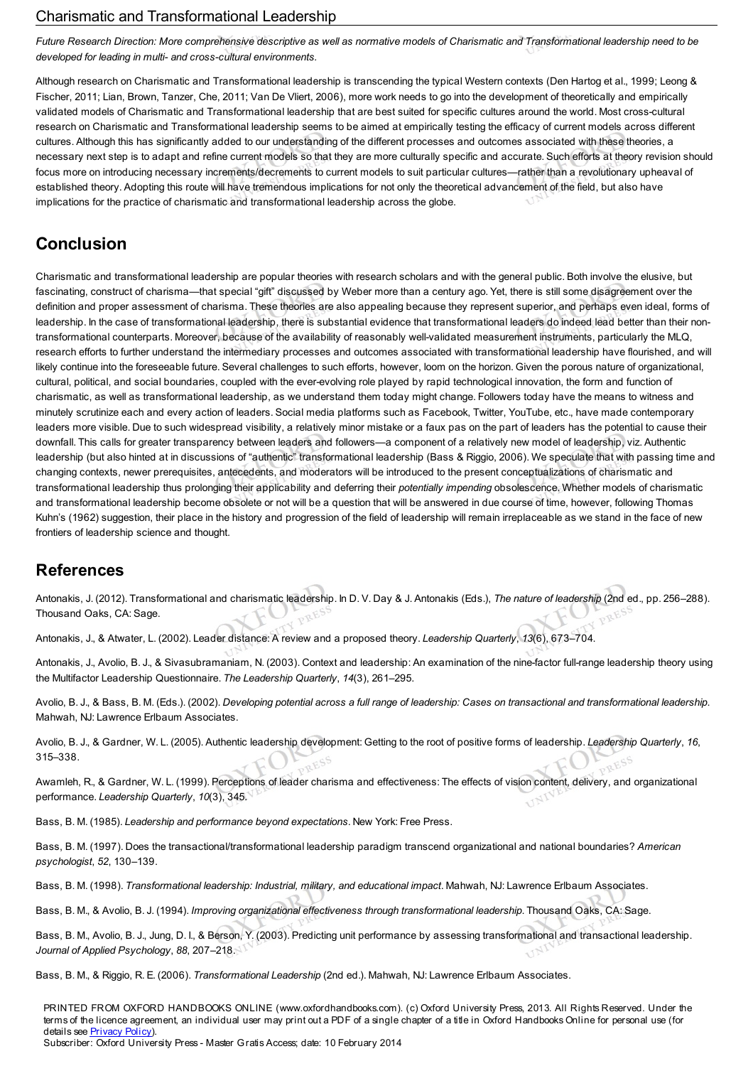Future Research Direction: More comprehensive descriptive as well as normative models of Charismatic and Transformational leadership need to be *developed for leading in multi- and cross-cultural environments.*

Although research on Charismatic and [Transformational](#page-14-23) leadership is transcending the typical Western contexts (Den [Hartog](#page-12-10) et al., 1999; Leong & Fischer, 2011; Lian, Brown, [Tanzer,](#page-14-24) Che, 2011; Van De [Vliert,](#page-15-7) 2006), more work needs to go into the development of theoretically and empirically validated models of Charismatic and Transformational leadership that are best suited for specific cultures around the world. Most cross-cultural research on Charismatic and Transformational leadership seems to be aimed at empirically testing the efficacy of current models across different cultures. Although this has significantly added to our understanding of the different processes and outcomes associated with these theories, a necessary next step is to adapt and refine current models so that they are more culturally specific and accurate. Such efforts at theory revision should focus more on introducing necessary increments/decrements to current models to suit particular cultures—rather than a revolutionary upheaval of established theory. Adopting this route will have tremendous implications for not only the theoretical advancement of the field, but also have implications for the practice of charismatic and transformational leadership across the globe. 15

# **Conclusion**

Charismatic and transformational leadership are popular theories with research scholars and with the general public. Both involve the elusive, but fascinating, construct of charisma—that special "gift" discussed by Weber more than a century ago. Yet, there is still some disagreement over the definition and proper assessment of charisma. These theories are also appealing because they represent superior, and perhaps even ideal, forms of leadership. In the case of transformational leadership, there is substantial evidence that transformational leaders do indeed lead better than their nontransformational counterparts. Moreover, because of the availability of reasonably well-validated measurement instruments, particularly the MLQ, research efforts to further understand the intermediary processes and outcomes associated with transformational leadership have flourished, and will likely continue into the foreseeable future. Several challenges to such efforts, however, loom on the horizon. Given the porous nature of organizational, cultural, political, and social boundaries, coupled with the ever-evolving role played by rapid technological innovation, the form and function of charismatic, as well as transformational leadership, as we understand them today might change. Followers today have the means to witness and minutely scrutinize each and every action of leaders. Social media platforms such as Facebook, Twitter, YouTube, etc., have made contemporary leaders more visible. Due to such widespread visibility, a relatively minor mistake or a faux pas on the part of leaders has the potential to cause their downfall. This calls for greater transparency between leaders and followers—a component of a relatively new model of leadership, viz. Authentic leadership (but also hinted at in discussions of "authentic" transformational leadership (Bass & [Riggio,](#page-11-4) 2006). We speculate that with passing time and changing contexts, newer prerequisites, antecedents, and moderators will be introduced to the present conceptualizations of charismatic and transformational leadership thus prolonging their applicability and deferring their *potentially impending* obsolescence. Whether models of charismatic and [transformational](#page-14-25) leadership become obsolete or not will be a question that will be answered in due course of time, however, following Thomas Kuhn's (1962) suggestion, their place in the history and progression of the field of leadership will remain irreplaceable as we stand in the face of new frontiers of leadership science and thought.

# **References**

<span id="page-11-6"></span>Antonakis, J. (2012). Transformational and charismatic leadership. In D. V. Day & J. Antonakis (Eds.), *The nature of leadership* (2nd ed., pp. 256–288). Thousand Oaks, CA: Sage.

Antonakis, J., & Atwater, L. (2002). Leader distance: A review and a proposed theory. *Leadership Quarterly*, *13*(6), 673–704.

<span id="page-11-9"></span>Antonakis, J., Avolio, B. J., & Sivasubramaniam, N. (2003). Context and leadership: An examination of the nine-factor full-range leadership theory using the Multifactor Leadership Questionnaire. *The Leadership Quarterly*, *14*(3), 261–295.

<span id="page-11-5"></span>Avolio, B. J., & Bass, B. M. (Eds.). (2002). Developing potential across a full range of leadership: Cases on transactional and transformational leadership. Mahwah, NJ: Lawrence Erlbaum Associates.

<span id="page-11-10"></span>Avolio, B. J., & Gardner, W. L. (2005). Authentic leadership development: Getting to the root of positive forms of leadership. *Leadership Quarterly*, *16*, 315–338. **ORE** 

<span id="page-11-1"></span>Awamleh, R., & Gardner, W. L. (1999). Perceptions of leader charisma and effectiveness: The effects of vision content, delivery, and organizational UNIV performance. *Leadership Quarterly*, *10*(3), 345.

<span id="page-11-0"></span>Bass, B. M. (1985). *Leadership and performance beyond expectations*. New York: Free Press.

<span id="page-11-7"></span>Bass, B. M. (1997). Does the transactional/transformational leadership paradigm transcend organizational and national boundaries? *American psychologist*, *52*, 130–139.

<span id="page-11-2"></span>Bass, B. M. (1998). *Transformational leadership: Industrial, military, and educational impact*. Mahwah, NJ: Lawrence Erlbaum Associates.

<span id="page-11-3"></span>Bass, B. M., & Avolio, B. J. (1994). *Improving organizational effectiveness through transformational leadership*. Thousand Oaks, CA: Sage.

<span id="page-11-8"></span>Bass, B. M., Avolio, B. J., Jung, D. I., & Berson, Y. (2003). Predicting unit performance by assessing transformational and transactional leadership. *Journal of Applied Psychology*, *88*, 207–218.

<span id="page-11-4"></span>Bass, B. M., & Riggio, R. E. (2006). *Transformational Leadership* (2nd ed.). Mahwah, NJ: Lawrence Erlbaum Associates.

PRINTED FROM OXFORD HANDBOOKS ONLINE (www.oxfordhandbooks.com). (c) Oxford University Press, 2013. All Rights Reserved. Under the terms of the licence agreement, an individual user may print out a PDF of a single chapter of a title in Oxford Handbooks Online for personal use (for details see [Privacy](http://www.oxfordhandbooks.com/page/privacy-policy/privacy-policy-and-legal-notice;jsessionid=6A5D18338CC47F8B88A926DE7A529563) Policy).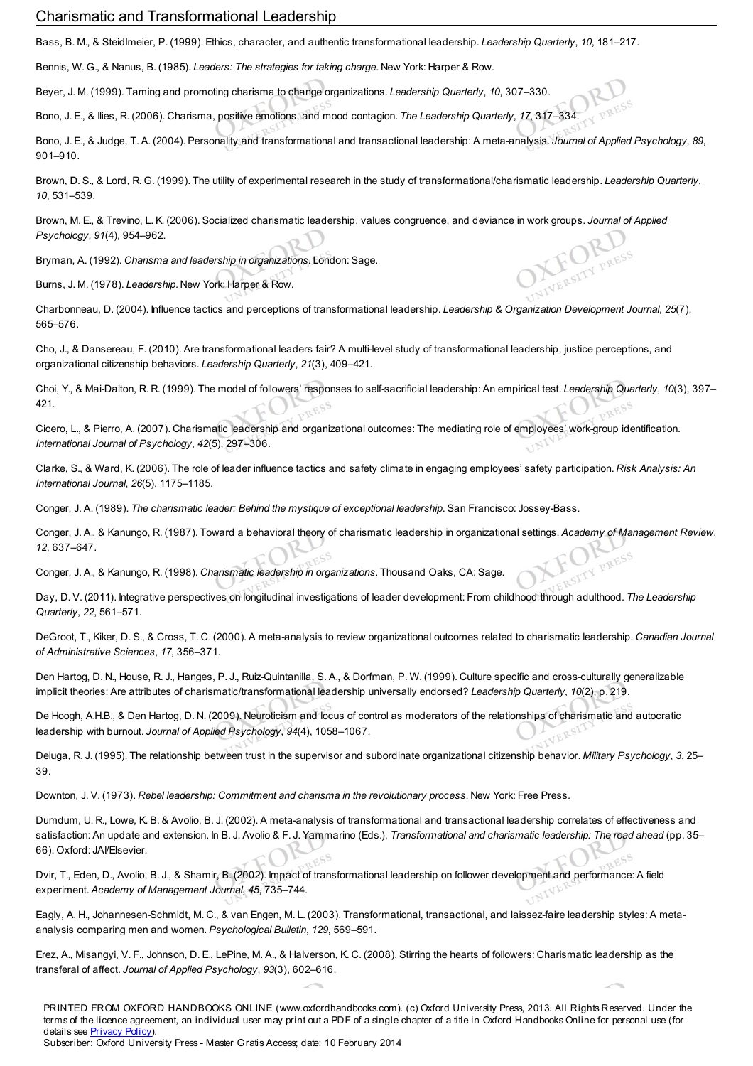<span id="page-12-4"></span>Bass, B. M., & Steidlmeier, P. (1999). Ethics, character, and authentic transformational leadership. *Leadership Quarterly*, *10*, 181–217.

<span id="page-12-14"></span>Bennis, W. G., & Nanus, B. (1985). *Leaders: The strategies for taking charge*. New York: Harper & Row.

<span id="page-12-11"></span>Beyer, J. M. (1999). Taming and promoting charisma to change organizations. *Leadership Quarterly*, *10*, 307–330.

<span id="page-12-3"></span>Bono, J. E., & Ilies, R. (2006). Charisma, positive emotions, and mood contagion. *The Leadership Quarterly*, *17*, 317–334.

Bono, J. E., & Judge, T. A. (2004). Personality and transformational and transactional leadership: A meta-analysis. *Journal of Applied Psychology*, *89*, 901–910.

<span id="page-12-21"></span>Brown, D. S., & Lord, R. G. (1999). The utility of experimental research in the study of transformational/charismatic leadership. *Leadership Quarterly*, *10*, 531–539.

<span id="page-12-5"></span>Brown, M. E., & Trevino, L. K. (2006). Socialized charismatic leadership, values congruence, and deviance in work groups. *Journal of Applied Psychology*, 91(4), 954–962.<br>Bryman, A. (1992). *Charisma and leadership in orga Psychology*, *91*(4), 954–962.

Bryman, A. (1992). *Charisma and leadership in organizations*. London: Sage.

<span id="page-12-12"></span>Burns, J. M. (1978). *Leadership*. New York: Harper & Row.

<span id="page-12-23"></span>Charbonneau, D. (2004). Influence tactics and perceptions of transformational leadership. *Leadership & Organization Development Journal*, *25*(7), 565–576.

<span id="page-12-17"></span>Cho, J., & Dansereau, F. (2010). Are transformational leaders fair? A multi-level study of transformational leadership, justice perceptions, and organizational citizenship behaviors. *Leadership Quarterly*, *21*(3), 409–421.

<span id="page-12-9"></span>Choi, Y., & Mai-Dalton, R. R. (1999). The model of followers' responses to self-sacrificial leadership: An empirical test. *Leadership Quarterly*, *10*(3), 397– 421.

<span id="page-12-6"></span>Cicero, L., & Pierro, A. (2007). Charismatic leadership and organizational outcomes: The mediating role of employees' work-group identification. *International Journal of Psychology*, *42*(5), 297–306.

<span id="page-12-24"></span>Clarke, S., & Ward, K. (2006). The role of leader influence tactics and safety climate in engaging employees' safety participation. *Risk Analysis: An International Journal*, *26*(5), 1175–1185.

<span id="page-12-2"></span>Conger, J. A. (1989). *The charismatic leader: Behind the mystique of exceptional leadership*. San Francisco: Jossey-Bass.

<span id="page-12-0"></span>Conger, J. A., & Kanungo, R. (1987). Toward a behavioral theory of charismatic leadership in organizational settings. *Academy of Management Review*, *12*, 637–647.

<span id="page-12-1"></span>Conger, J. A., & Kanungo, R. (1998). *Charismatic leadership in organizations*. Thousand Oaks, CA: Sage.

<span id="page-12-22"></span>Day, D. V. (2011). Integrative perspectives on longitudinal investigations of leader development: From childhood through adulthood. *The Leadership Quarterly*, *22*, 561–571.

<span id="page-12-16"></span>DeGroot, T., Kiker, D. S., & Cross, T. C. (2000). A meta-analysis to review organizational outcomes related to charismatic leadership. *Canadian Journal of Administrative Sciences*, *17*, 356–371.

<span id="page-12-10"></span>Den Hartog, D. N., House, R. J., Hanges, P. J., Ruiz-Quintanilla, S. A., & Dorfman, P. W. (1999). Culture specific and cross-culturally generalizable implicit theories: Are attributes of charismatic/transformational leadership universally endorsed? *Leadership Quarterly*, *10*(2), p. 219.

<span id="page-12-8"></span>De Hoogh, A.H.B., & Den Hartog, D. N. (2009). Neuroticism and locus of control as moderators of the relationships of charismatic and autocratic leadership with burnout. *Journal of Applied Psychology*, *94*(4), 1058–1067.

<span id="page-12-19"></span>Deluga, R. J. (1995). The relationship between trust in the supervisor and subordinate organizational citizenship behavior. *Military Psychology*, *3*, 25– 39.

<span id="page-12-13"></span>Downton, J. V. (1973). *Rebel leadership: Commitment and charisma in the revolutionary process*. New York: Free Press.

<span id="page-12-15"></span>Dumdum, U. R., Lowe, K. B. & Avolio, B. J. (2002). A meta-analysis of transformational and transactional leadership correlates of effectiveness and satisfaction: An update and extension. In B. J. Avolio & F. J. Yammarino (Eds.), *Transformational and charismatic leadership: The road ahead* (pp. 35– 66). Oxford: JAI/Elsevier.

<span id="page-12-18"></span>Dvir, T., Eden, D., Avolio, B. J., & Shamir, B. (2002). Impact of transformational leadership on follower development and performance: A field experiment. *Academy of Management Journal*, *45*, 735–744.

<span id="page-12-20"></span>Eagly, A. H., Johannesen-Schmidt, M. C., & van Engen, M. L. (2003). Transformational, transactional, and laissez-faire leadership styles: A metaanalysis comparing men and women. *Psychological Bulletin*, *129*, 569–591.

<span id="page-12-7"></span>Erez, A., Misangyi, V. F., Johnson, D. E., LePine, M. A., & Halverson, K. C. (2008). Stirring the hearts of followers: Charismatic leadership as the transferal of affect. *Journal of Applied Psychology*, *93*(3), 602–616.

PRINTED FROM OXFORD HANDBOOKS ONLINE (www.oxfordhandbooks.com). (c) Oxford University Press, 2013. All Rights Reserved. Under the terms of the licence agreement, an individual user may print out a PDF of a single chapter of a title in Oxford Handbooks Online for personal use (for details see [Privacy](http://www.oxfordhandbooks.com/page/privacy-policy/privacy-policy-and-legal-notice;jsessionid=6A5D18338CC47F8B88A926DE7A529563) Policy).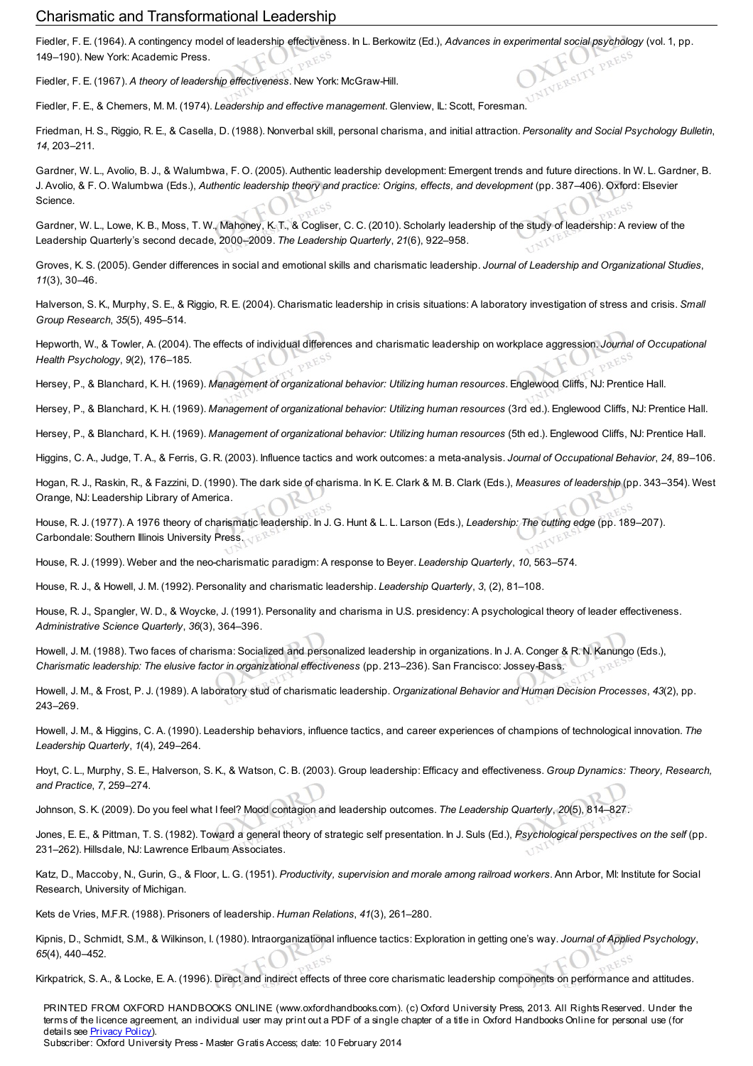<span id="page-13-2"></span>Fiedler, F. E. (1964). A contingency model of leadership effectiveness. In L. Berkowitz (Ed.), *Advances in experimental social psychology* (vol. 1, pp. 149–190). New York: Academic Press.

Fiedler, F. E. (1967). *A theory of leadership effectiveness*. New York: McGraw-Hill.

<span id="page-13-3"></span>Fiedler, F. E., & Chemers, M. M. (1974). *Leadership and effective management*. Glenview, IL: Scott, Foresman.

<span id="page-13-7"></span>Friedman, H. S., Riggio, R. E., & Casella, D. (1988). Nonverbal skill, personal charisma, and initial attraction. *Personality and Social Psychology Bulletin*, *14*, 203–211.

<span id="page-13-19"></span>Gardner, W. L., Avolio, B. J., & Walumbwa, F. O. (2005). Authentic leadership development: Emergent trends and future directions. In W. L. Gardner, B. J. Avolio, & F. O. Walumbwa (Eds.), *Authentic leadership theory and practice: Origins, effects, and development* (pp. 387–406). Oxford: Elsevier Science.

<span id="page-13-0"></span>Gardner, W. L., Lowe, K. B., Moss, T. W., Mahoney, K. T., & Cogliser, C. C. (2010). Scholarly leadership of the study of leadership: A review of the Leadership Quarterly's second decade, 2000–2009. *The Leadership Quarterly*, *21*(6), 922–958.

<span id="page-13-15"></span>Groves, K. S. (2005). Gender differences in social and emotional skills and charismatic leadership. *Journal of Leadership and Organizational Studies*, *11*(3), 30–46.

<span id="page-13-14"></span>Halverson, S. K., Murphy, S. E., & Riggio, R. E. (2004). Charismatic leadership in crisis situations: A laboratory investigation of stress and crisis. *Small Group Research*, *35*(5), 495–514.

<span id="page-13-13"></span>Hepworth, W., & Towler, A. (2004). The effects of individual differences and charismatic leadership on workplace aggression. *Journal of Occupational Health Psychology*, *9*(2), 176–185.

<span id="page-13-4"></span>Hersey, P., & Blanchard, K. H. (1969). *Management of organizational behavior: Utilizing human resources*. Englewood Cliffs, NJ: Prentice Hall.

Hersey, P., & Blanchard, K. H. (1969). *Management of organizational behavior: Utilizing human resources* (3rd ed.). Englewood Cliffs, NJ: Prentice Hall.

Hersey, P., & Blanchard, K. H. (1969). *Management of organizational behavior: Utilizing human resources* (5th ed.). Englewood Cliffs, NJ: Prentice Hall.

<span id="page-13-22"></span>Higgins, C. A., Judge, T. A., & Ferris, G. R. (2003). Influence tactics and work outcomes: a meta-analysis. *Journal of Occupational Behavior*, *24*, 89–106.

<span id="page-13-9"></span>Hogan, R. J., Raskin, R., & Fazzini, D. (1990). The dark side of charisma. In K. E. Clark & M. B. Clark (Eds.), *Measures of leadership* (pp. 343–354). West Orange, NJ: Leadership Library of America.

<span id="page-13-5"></span>House, R. J. (1977). A 1976 theory of charismatic leadership. In J. G. Hunt & L. L. Larson (Eds.), *Leadership: The cutting edge* (pp. 189–207). Carbondale: Southern Illinois University Press.

<span id="page-13-16"></span>House, R. J. (1999). Weber and the neo-charismatic paradigm: A response to Beyer. *Leadership Quarterly*, *10*, 563–574.

<span id="page-13-10"></span>House, R. J., & Howell, J. M. (1992). Personality and charismatic leadership. *Leadership Quarterly*, *3*, (2), 81–108.

House, R. J., Spangler, W. D., & Woycke, J. (1991). Personality and charisma in U.S. presidency: A psychological theory of leader effectiveness. *Administrative Science Quarterly*, *36*(3), 364–396.

<span id="page-13-17"></span>Howell, J. M. (1988). Two faces of charisma: Socialized and personalized leadership in organizations. In J. A. Conger & R. N. Kanungo (Eds.), *Charismatic leadership: The elusive factor in organizational effectiveness* (pp. 213–236). San Francisco: Jossey-Bass.

<span id="page-13-11"></span>Howell, J. M., & Frost, P. J. (1989). A laboratory stud of charismatic leadership. *Organizational Behavior and Human Decision Processes*, *43*(2), pp. 243–269.

<span id="page-13-23"></span>Howell, J. M., & Higgins, C. A. (1990). Leadership behaviors, influence tactics, and career experiences of champions of technological innovation. *The Leadership Quarterly*, *1*(4), 249–264.

<span id="page-13-18"></span>Hoyt, C. L., Murphy, S. E., Halverson, S. K., & Watson, C. B. (2003). Group leadership: Efficacy and effectiveness. *Group Dynamics: Theory, Research, and Practice*, *7*, 259–274.

<span id="page-13-8"></span>Johnson, S. K. (2009). Do you feel what I feel? Mood contagion and leadership outcomes. *The Leadership Quarterly*, *20*(5), 814–827.

<span id="page-13-21"></span>Jones, E. E., & Pittman, T. S. (1982). Toward a general theory of strategic self presentation. In J. Suls (Ed.), *Psychological perspectives on the self* (pp. 231–262). Hillsdale, NJ: Lawrence Erlbaum Associates.

<span id="page-13-1"></span>Katz, D., Maccoby, N., Gurin, G., & Floor, L. G. (1951). *Productivity, supervision and morale among railroad workers*. Ann Arbor, MI: Institute for Social Research, University of Michigan.

<span id="page-13-6"></span>Kets de Vries, M.F.R. (1988). Prisoners of leadership. *Human Relations*, *41*(3), 261–280.

<span id="page-13-20"></span>Kipnis, D., Schmidt, S.M., & Wilkinson, I. (1980). Intraorganizational influence tactics: Exploration in getting one's way. *Journal of Applied Psychology*, *65*(4), 440–452.

<span id="page-13-12"></span>Kirkpatrick, S. A., & Locke, E. A. (1996). Direct and indirect effects of three core charismatic leadership components on performance and attitudes.

PRINTED FROM OXFORD HANDBOOKS ONLINE (www.oxfordhandbooks.com). (c) Oxford University Press, 2013. All Rights Reserved. Under the terms of the licence agreement, an individual user may print out a PDF of a single chapter of a title in Oxford Handbooks Online for personal use (for details see [Privacy](http://www.oxfordhandbooks.com/page/privacy-policy/privacy-policy-and-legal-notice;jsessionid=6A5D18338CC47F8B88A926DE7A529563) Policy).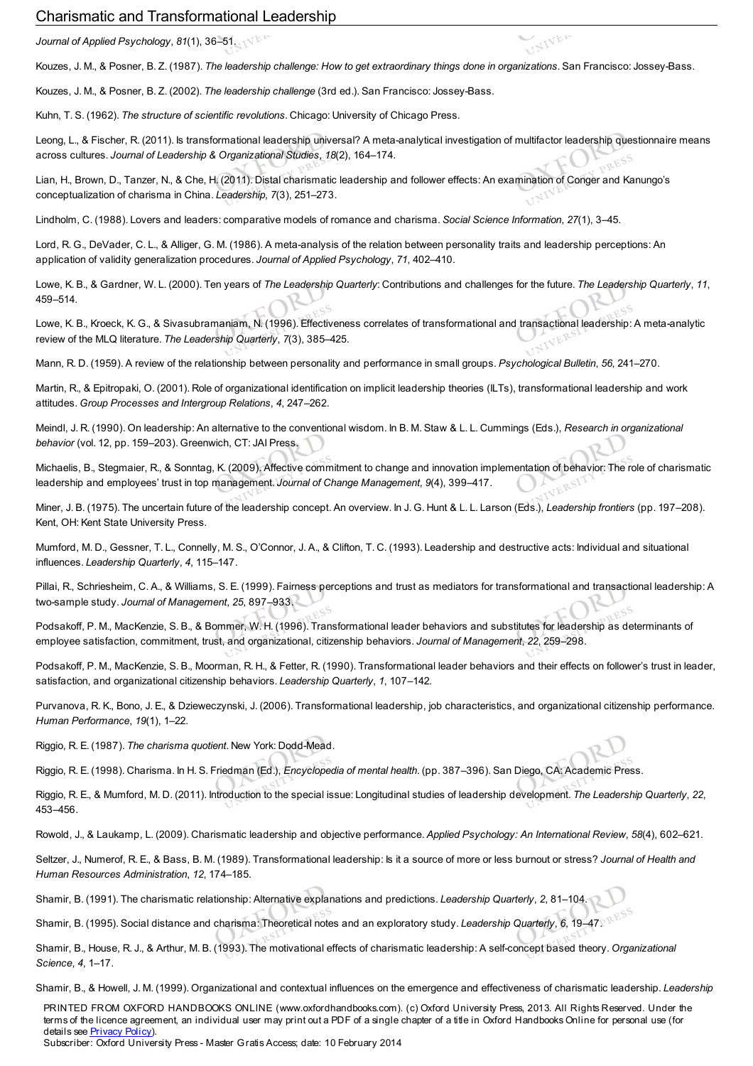*Journal of Applied Psychology*, *81*(1), 36–51.

<span id="page-14-13"></span>Kouzes, J. M., & Posner, B. Z. (1987). *The leadership challenge: How to get extraordinary things done in organizations*. San Francisco: Jossey-Bass.

<span id="page-14-14"></span>Kouzes, J. M., & Posner, B. Z. (2002). *The leadership challenge* (3rd ed.). San Francisco: Jossey-Bass.

<span id="page-14-25"></span>Kuhn, T. S. (1962). *The structure of scientific revolutions*. Chicago: University of Chicago Press.

<span id="page-14-23"></span>Leong, L., & Fischer, R. (2011). Is transformational leadership universal? A meta-analytical investigation of multifactor leadership questionnaire means across cultures. *Journal of Leadership & Organizational Studies*, *18*(2), 164–174.

<span id="page-14-24"></span>Lian, H., Brown, D., Tanzer, N., & Che, H. (2011). Distal charismatic leadership and follower effects: An examination of Conger and Kanungo's conceptualization of charisma in China. *Leadership*, *7*(3), 251–273.

<span id="page-14-5"></span>Lindholm, C. (1988). Lovers and leaders: comparative models of romance and charisma. *Social Science Information*, *27*(1), 3–45.

<span id="page-14-1"></span>Lord, R. G., DeVader, C. L., & Alliger, G. M. (1986). A meta-analysis of the relation between personality traits and leadership perceptions: An application of validity generalization procedures. *Journal of Applied Psychology*, *71*, 402–410.

<span id="page-14-0"></span>Lowe, K. B., & Gardner, W. L. (2000). Ten years of *The Leadership Quarterly*: Contributions and challenges for the future. *The Leadership Quarterly*, *11*, 459–514.

<span id="page-14-16"></span>Lowe, K. B., Kroeck, K. G., & Sivasubramaniam, N. (1996). Effectiveness correlates of transformational and transactional leadership: A meta-analytic review of the MLQ literature. *The Leadership Quarterly*, *7*(3), 385–425.

<span id="page-14-2"></span>Mann, R. D. (1959). A review of the relationship between personality and performance in small groups. *Psychological Bulletin*, *56*, 241–270.

<span id="page-14-17"></span>Martin, R., & Epitropaki, O. (2001). Role of organizational identification on implicit leadership theories (ILTs), transformational leadership and work attitudes. *Group Processes and Intergroup Relations*, *4*, 247–262.

Meindl, J. R. (1990). On leadership: An alternative to the conventional wisdom. In B. M. Staw & L. L. Cummings (Eds.), *Research in organizational behavior* (vol. 12, pp. 159–203). Greenwich, CT: JAI Press.

<span id="page-14-10"></span>Michaelis, B., Stegmaier, R., & Sonntag, K. (2009). Affective commitment to change and innovation implementation of behavior: The role of charismatic leadership and employees' trust in top management. *Journal of Change Management*, *9*(4), 399–417.  $-613$ 

<span id="page-14-3"></span>Miner, J. B. (1975). The uncertain future of the leadership concept. An overview. In J. G. Hunt & L. L. Larson (Eds.), *Leadership frontiers* (pp. 197–208). Kent, OH: Kent State University Press.

<span id="page-14-9"></span>Mumford, M. D., Gessner, T. L., Connelly, M. S., O'Connor, J. A., & Clifton, T. C. (1993). Leadership and destructive acts: Individual and situational influences. *Leadership Quarterly*, *4*, 115–147.

<span id="page-14-21"></span>Pillai, R., Schriesheim, C. A., & Williams, S. E. (1999). Fairness perceptions and trust as mediators for transformational and transactional leadership: A two-sample study. *Journal of Management*, *25*, 897–933.

<span id="page-14-18"></span>Podsakoff, P. M., MacKenzie, S. B., & Bommer, W. H. (1996). Transformational leader behaviors and substitutes for leadership as determinants of employee satisfaction, commitment, trust, and organizational, citizenship behaviors. *Journal of Management*, *22*, 259–298.

<span id="page-14-15"></span>Podsakoff, P. M., MacKenzie, S. B., Moorman, R. H., & Fetter, R. (1990). Transformational leader behaviors and their effects on follower's trust in leader, satisfaction, and organizational citizenship behaviors. *Leadership Quarterly*, *1*, 107–142.

<span id="page-14-19"></span>Purvanova, R. K., Bono, J. E., & Dzieweczynski, J. (2006). Transformational leadership, job characteristics, and organizational citizenship performance. *Human Performance*, *19*(1), 1–22.

<span id="page-14-6"></span>Riggio, R. E. (1987). *The charisma quotient*. New York: Dodd-Mead.

<span id="page-14-7"></span>Riggio, R. E. (1998). Charisma. In H. S. Friedman (Ed.), *Encyclopedia of mental health*. (pp. 387–396). San Diego, CA: Academic Press.

<span id="page-14-22"></span>Riggio, R. E., & Mumford, M. D. (2011). Introduction to the special issue: Longitudinal studies of leadership development. *The Leadership Quarterly*, *22*, 453–456.

<span id="page-14-11"></span>Rowold, J., & Laukamp, L. (2009). Charismatic leadership and objective performance. *Applied Psychology: An International Review*, *58*(4), 602–621.

<span id="page-14-20"></span>Seltzer, J., Numerof, R. E., & Bass, B. M. (1989). Transformational leadership: Is it a source of more or less burnout or stress? *Journal of Health and Human Resources Administration*, *12*, 174–185.

<span id="page-14-12"></span>Shamir, B. (1991). The charismatic relationship: Alternative explanations and predictions. *Leadership Quarterly*, *2*, 81–104.

<span id="page-14-8"></span>Shamir, B. (1995). Social distance and charisma: Theoretical notes and an exploratory study. *Leadership Quarterly*, *6*, 19–47.

<span id="page-14-4"></span>Shamir, B., House, R. J., & Arthur, M. B. (1993). The motivational effects of charismatic leadership: A self-concept based theory. *Organizational Science*, *4*, 1–17.

Shamir, B., & Howell, J. M. (1999). Organizational and contextual influences on the emergence and effectiveness of charismatic leadership. *Leadership*

PRINTED FROM OXFORD HANDBOOKS ONLINE (www.oxfordhandbooks.com). (c) Oxford University Press, 2013. All Rights Reserved. Under the terms of the licence agreement, an individual user may print out a PDF of a single chapter of a title in Oxford Handbooks Online for personal use (for details see [Privacy](http://www.oxfordhandbooks.com/page/privacy-policy/privacy-policy-and-legal-notice;jsessionid=6A5D18338CC47F8B88A926DE7A529563) Policy).